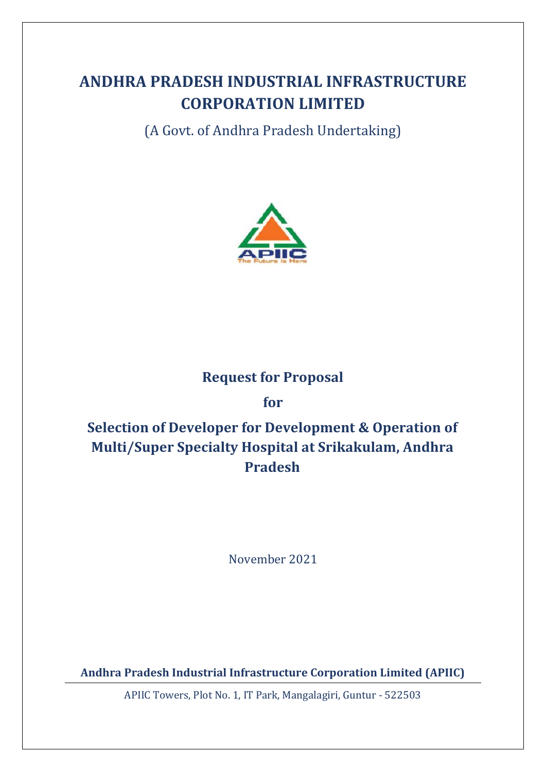# **ANDHRA PRADESH INDUSTRIAL INFRASTRUCTURE CORPORATION LIMITED**

(A Govt. of Andhra Pradesh Undertaking)



## **Request for Proposal**

**for**

# **Selection of Developer for Development & Operation of Multi/Super Specialty Hospital at Srikakulam, Andhra Pradesh**

November 2021

**Andhra Pradesh Industrial Infrastructure Corporation Limited (APIIC)**

APIIC Towers, Plot No. 1, IT Park, Mangalagiri, Guntur - 522503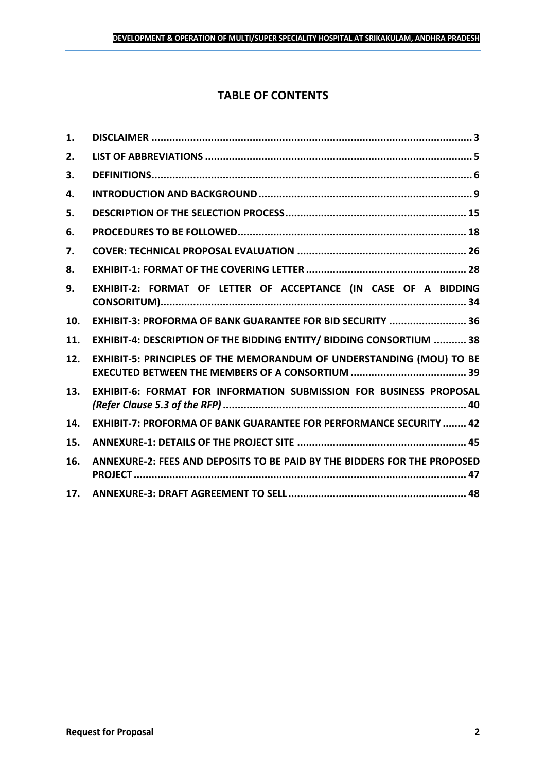## **TABLE OF CONTENTS**

| 1.  |                                                                           |
|-----|---------------------------------------------------------------------------|
| 2.  |                                                                           |
| 3.  |                                                                           |
| 4.  |                                                                           |
| 5.  |                                                                           |
| 6.  |                                                                           |
| 7.  |                                                                           |
| 8.  |                                                                           |
| 9.  | EXHIBIT-2: FORMAT OF LETTER OF ACCEPTANCE (IN CASE OF A BIDDING           |
| 10. | EXHIBIT-3: PROFORMA OF BANK GUARANTEE FOR BID SECURITY  36                |
| 11. | EXHIBIT-4: DESCRIPTION OF THE BIDDING ENTITY/ BIDDING CONSORTIUM  38      |
| 12. | EXHIBIT-5: PRINCIPLES OF THE MEMORANDUM OF UNDERSTANDING (MOU) TO BE      |
| 13. | <b>EXHIBIT-6: FORMAT FOR INFORMATION SUBMISSION FOR BUSINESS PROPOSAL</b> |
| 14. | <b>EXHIBIT-7: PROFORMA OF BANK GUARANTEE FOR PERFORMANCE SECURITY  42</b> |
| 15. |                                                                           |
| 16. | ANNEXURE-2: FEES AND DEPOSITS TO BE PAID BY THE BIDDERS FOR THE PROPOSED  |
| 17. |                                                                           |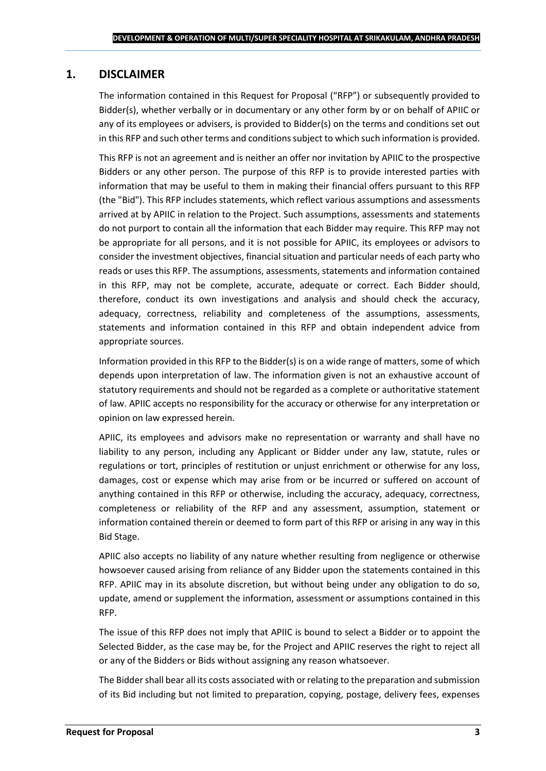## <span id="page-2-0"></span>**1. DISCLAIMER**

The information contained in this Request for Proposal ("RFP") or subsequently provided to Bidder(s), whether verbally or in documentary or any other form by or on behalf of APIIC or any of its employees or advisers, is provided to Bidder(s) on the terms and conditions set out in this RFP and such other terms and conditions subject to which such information is provided.

This RFP is not an agreement and is neither an offer nor invitation by APIIC to the prospective Bidders or any other person. The purpose of this RFP is to provide interested parties with information that may be useful to them in making their financial offers pursuant to this RFP (the "Bid"). This RFP includes statements, which reflect various assumptions and assessments arrived at by APIIC in relation to the Project. Such assumptions, assessments and statements do not purport to contain all the information that each Bidder may require. This RFP may not be appropriate for all persons, and it is not possible for APIIC, its employees or advisors to consider the investment objectives, financial situation and particular needs of each party who reads or uses this RFP. The assumptions, assessments, statements and information contained in this RFP, may not be complete, accurate, adequate or correct. Each Bidder should, therefore, conduct its own investigations and analysis and should check the accuracy, adequacy, correctness, reliability and completeness of the assumptions, assessments, statements and information contained in this RFP and obtain independent advice from appropriate sources.

Information provided in this RFP to the Bidder(s) is on a wide range of matters, some of which depends upon interpretation of law. The information given is not an exhaustive account of statutory requirements and should not be regarded as a complete or authoritative statement of law. APIIC accepts no responsibility for the accuracy or otherwise for any interpretation or opinion on law expressed herein.

APIIC, its employees and advisors make no representation or warranty and shall have no liability to any person, including any Applicant or Bidder under any law, statute, rules or regulations or tort, principles of restitution or unjust enrichment or otherwise for any loss, damages, cost or expense which may arise from or be incurred or suffered on account of anything contained in this RFP or otherwise, including the accuracy, adequacy, correctness, completeness or reliability of the RFP and any assessment, assumption, statement or information contained therein or deemed to form part of this RFP or arising in any way in this Bid Stage.

APIIC also accepts no liability of any nature whether resulting from negligence or otherwise howsoever caused arising from reliance of any Bidder upon the statements contained in this RFP. APIIC may in its absolute discretion, but without being under any obligation to do so, update, amend or supplement the information, assessment or assumptions contained in this RFP.

The issue of this RFP does not imply that APIIC is bound to select a Bidder or to appoint the Selected Bidder, as the case may be, for the Project and APIIC reserves the right to reject all or any of the Bidders or Bids without assigning any reason whatsoever.

The Bidder shall bear all its costs associated with or relating to the preparation and submission of its Bid including but not limited to preparation, copying, postage, delivery fees, expenses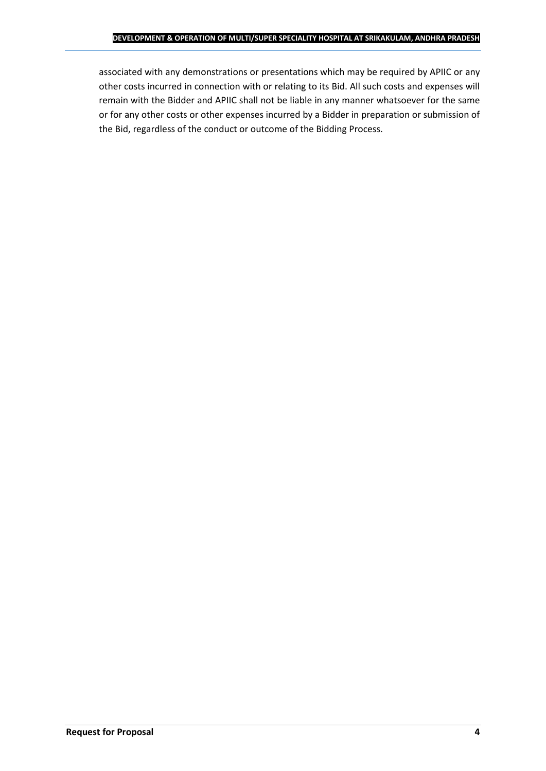associated with any demonstrations or presentations which may be required by APIIC or any other costs incurred in connection with or relating to its Bid. All such costs and expenses will remain with the Bidder and APIIC shall not be liable in any manner whatsoever for the same or for any other costs or other expenses incurred by a Bidder in preparation or submission of the Bid, regardless of the conduct or outcome of the Bidding Process.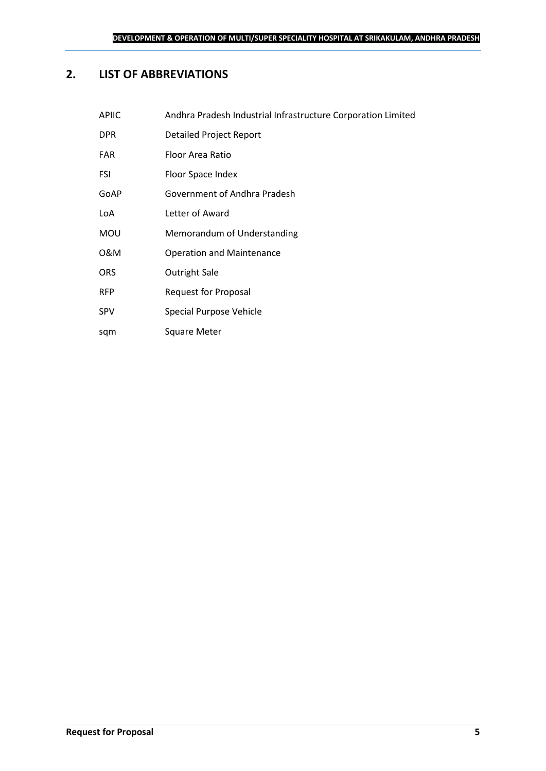## <span id="page-4-0"></span>**2. LIST OF ABBREVIATIONS**

sqm Square Meter

| <b>APIIC</b> | Andhra Pradesh Industrial Infrastructure Corporation Limited |
|--------------|--------------------------------------------------------------|
| <b>DPR</b>   | <b>Detailed Project Report</b>                               |
| <b>FAR</b>   | Floor Area Ratio                                             |
| FSI          | Floor Space Index                                            |
| GoAP         | Government of Andhra Pradesh                                 |
| LoA          | Letter of Award                                              |
| <b>MOU</b>   | Memorandum of Understanding                                  |
| 0&M          | <b>Operation and Maintenance</b>                             |
| <b>ORS</b>   | Outright Sale                                                |
| <b>RFP</b>   | Request for Proposal                                         |
| <b>SPV</b>   | Special Purpose Vehicle                                      |
|              |                                                              |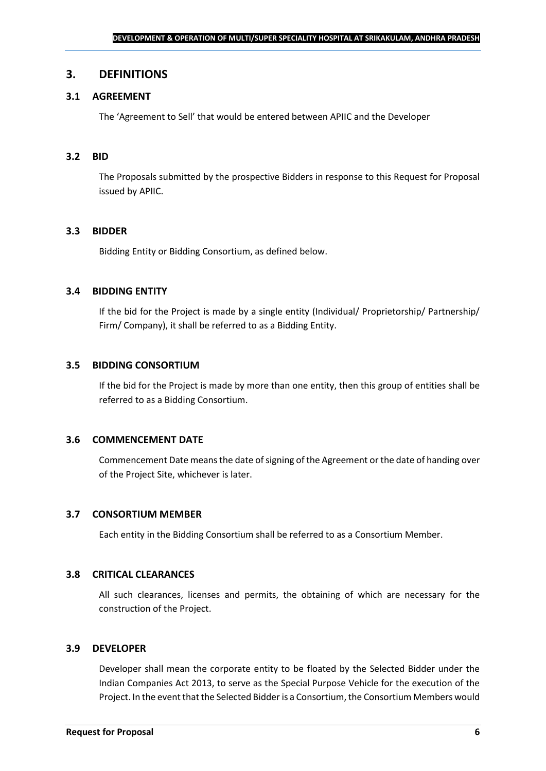### <span id="page-5-0"></span>**3. DEFINITIONS**

## **3.1 AGREEMENT**

The 'Agreement to Sell' that would be entered between APIIC and the Developer

#### **3.2 BID**

The Proposals submitted by the prospective Bidders in response to this Request for Proposal issued by APIIC.

#### **3.3 BIDDER**

Bidding Entity or Bidding Consortium, as defined below.

#### **3.4 BIDDING ENTITY**

If the bid for the Project is made by a single entity (Individual/ Proprietorship/ Partnership/ Firm/ Company), it shall be referred to as a Bidding Entity.

#### **3.5 BIDDING CONSORTIUM**

If the bid for the Project is made by more than one entity, then this group of entities shall be referred to as a Bidding Consortium.

#### **3.6 COMMENCEMENT DATE**

Commencement Date means the date of signing of the Agreement or the date of handing over of the Project Site, whichever is later.

#### **3.7 CONSORTIUM MEMBER**

Each entity in the Bidding Consortium shall be referred to as a Consortium Member.

#### **3.8 CRITICAL CLEARANCES**

All such clearances, licenses and permits, the obtaining of which are necessary for the construction of the Project.

#### **3.9 DEVELOPER**

Developer shall mean the corporate entity to be floated by the Selected Bidder under the Indian Companies Act 2013, to serve as the Special Purpose Vehicle for the execution of the Project. In the event that the Selected Bidder is a Consortium, the Consortium Members would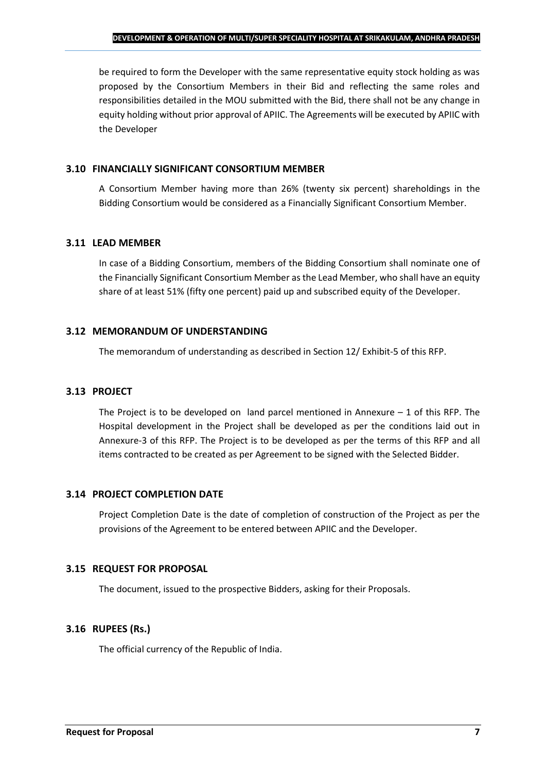be required to form the Developer with the same representative equity stock holding as was proposed by the Consortium Members in their Bid and reflecting the same roles and responsibilities detailed in the MOU submitted with the Bid, there shall not be any change in equity holding without prior approval of APIIC. The Agreements will be executed by APIIC with the Developer

## **3.10 FINANCIALLY SIGNIFICANT CONSORTIUM MEMBER**

A Consortium Member having more than 26% (twenty six percent) shareholdings in the Bidding Consortium would be considered as a Financially Significant Consortium Member.

## **3.11 LEAD MEMBER**

In case of a Bidding Consortium, members of the Bidding Consortium shall nominate one of the Financially Significant Consortium Member as the Lead Member, who shall have an equity share of at least 51% (fifty one percent) paid up and subscribed equity of the Developer.

## **3.12 MEMORANDUM OF UNDERSTANDING**

The memorandum of understanding as described in Section 12/ Exhibit-5 of this RFP.

## **3.13 PROJECT**

The Project is to be developed on land parcel mentioned in Annexure  $-1$  of this RFP. The Hospital development in the Project shall be developed as per the conditions laid out in Annexure-3 of this RFP. The Project is to be developed as per the terms of this RFP and all items contracted to be created as per Agreement to be signed with the Selected Bidder.

## **3.14 PROJECT COMPLETION DATE**

Project Completion Date is the date of completion of construction of the Project as per the provisions of the Agreement to be entered between APIIC and the Developer.

## **3.15 REQUEST FOR PROPOSAL**

The document, issued to the prospective Bidders, asking for their Proposals.

## **3.16 RUPEES (Rs.)**

The official currency of the Republic of India.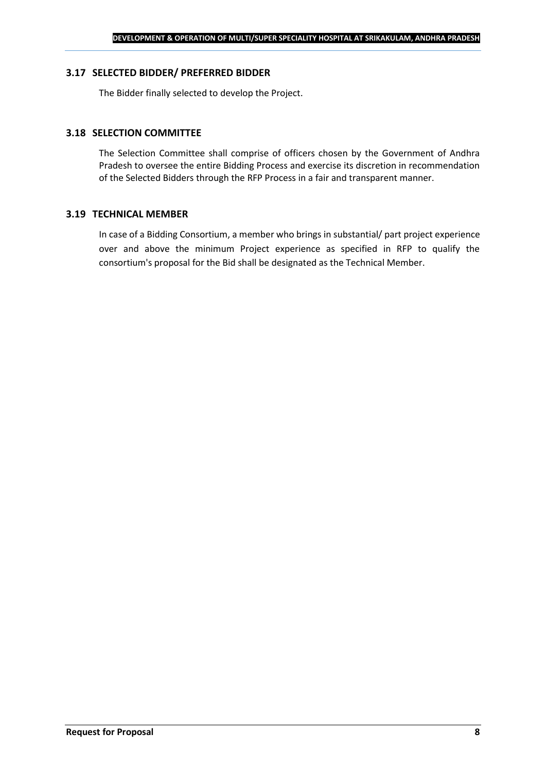#### **3.17 SELECTED BIDDER/ PREFERRED BIDDER**

The Bidder finally selected to develop the Project.

## **3.18 SELECTION COMMITTEE**

The Selection Committee shall comprise of officers chosen by the Government of Andhra Pradesh to oversee the entire Bidding Process and exercise its discretion in recommendation of the Selected Bidders through the RFP Process in a fair and transparent manner.

#### **3.19 TECHNICAL MEMBER**

In case of a Bidding Consortium, a member who brings in substantial/ part project experience over and above the minimum Project experience as specified in RFP to qualify the consortium's proposal for the Bid shall be designated as the Technical Member.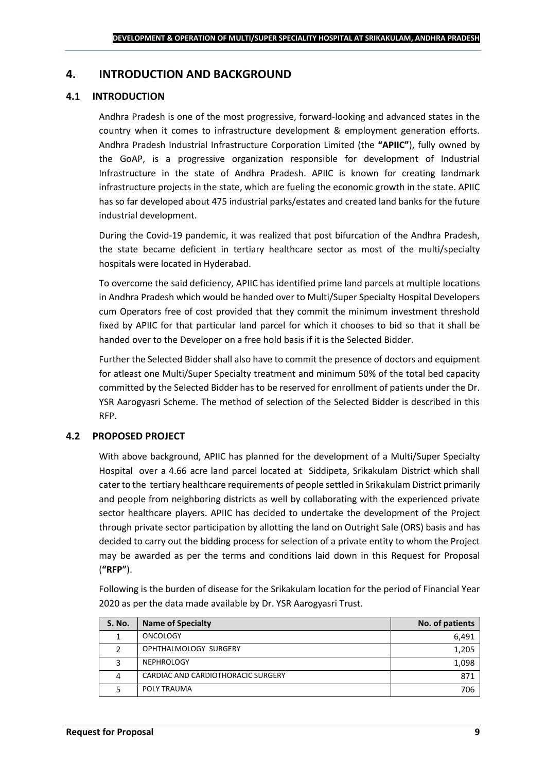## <span id="page-8-0"></span>**4. INTRODUCTION AND BACKGROUND**

### **4.1 INTRODUCTION**

Andhra Pradesh is one of the most progressive, forward-looking and advanced states in the country when it comes to infrastructure development & employment generation efforts. Andhra Pradesh Industrial Infrastructure Corporation Limited (the **"APIIC"**), fully owned by the GoAP, is a progressive organization responsible for development of Industrial Infrastructure in the state of Andhra Pradesh. APIIC is known for creating landmark infrastructure projects in the state, which are fueling the economic growth in the state. APIIC has so far developed about 475 industrial parks/estates and created land banks for the future industrial development.

During the Covid-19 pandemic, it was realized that post bifurcation of the Andhra Pradesh, the state became deficient in tertiary healthcare sector as most of the multi/specialty hospitals were located in Hyderabad.

To overcome the said deficiency, APIIC has identified prime land parcels at multiple locations in Andhra Pradesh which would be handed over to Multi/Super Specialty Hospital Developers cum Operators free of cost provided that they commit the minimum investment threshold fixed by APIIC for that particular land parcel for which it chooses to bid so that it shall be handed over to the Developer on a free hold basis if it is the Selected Bidder.

Further the Selected Bidder shall also have to commit the presence of doctors and equipment for atleast one Multi/Super Specialty treatment and minimum 50% of the total bed capacity committed by the Selected Bidder has to be reserved for enrollment of patients under the Dr. YSR Aarogyasri Scheme. The method of selection of the Selected Bidder is described in this RFP.

## **4.2 PROPOSED PROJECT**

With above background, APIIC has planned for the development of a Multi/Super Specialty Hospital over a 4.66 acre land parcel located at Siddipeta, Srikakulam District which shall cater to the tertiary healthcare requirements of people settled in Srikakulam District primarily and people from neighboring districts as well by collaborating with the experienced private sector healthcare players. APIIC has decided to undertake the development of the Project through private sector participation by allotting the land on Outright Sale (ORS) basis and has decided to carry out the bidding process for selection of a private entity to whom the Project may be awarded as per the terms and conditions laid down in this Request for Proposal (**"RFP"**).

Following is the burden of disease for the Srikakulam location for the period of Financial Year 2020 as per the data made available by Dr. YSR Aarogyasri Trust.

| S. No. | <b>Name of Specialty</b>           | No. of patients |
|--------|------------------------------------|-----------------|
|        | <b>ONCOLOGY</b>                    | 6,491           |
|        | OPHTHALMOLOGY SURGERY              | 1,205           |
|        | <b>NEPHROLOGY</b>                  | 1,098           |
| 4      | CARDIAC AND CARDIOTHORACIC SURGERY | 871             |
|        | POLY TRAUMA                        | 706             |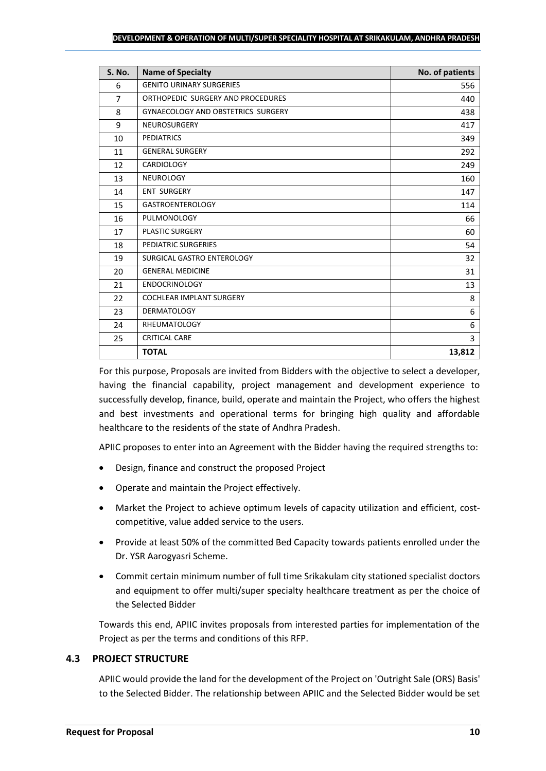| <b>S. No.</b> | <b>Name of Specialty</b>                  | No. of patients |
|---------------|-------------------------------------------|-----------------|
| 6             | <b>GENITO URINARY SURGERIES</b>           | 556             |
| 7             | ORTHOPEDIC SURGERY AND PROCEDURES         | 440             |
| 8             | <b>GYNAECOLOGY AND OBSTETRICS SURGERY</b> | 438             |
| 9             | <b>NEUROSURGERY</b>                       | 417             |
| 10            | <b>PEDIATRICS</b>                         | 349             |
| 11            | <b>GENERAL SURGERY</b>                    | 292             |
| 12            | CARDIOLOGY                                | 249             |
| 13            | <b>NEUROLOGY</b>                          | 160             |
| 14            | <b>ENT SURGERY</b>                        | 147             |
| 15            | <b>GASTROENTEROLOGY</b>                   | 114             |
| 16            | PULMONOLOGY                               | 66              |
| 17            | <b>PLASTIC SURGERY</b>                    | 60              |
| 18            | PEDIATRIC SURGERIES                       | 54              |
| 19            | SURGICAL GASTRO ENTEROLOGY                | 32              |
| 20            | <b>GENERAL MEDICINE</b>                   | 31              |
| 21            | <b>ENDOCRINOLOGY</b>                      | 13              |
| 22            | <b>COCHLEAR IMPLANT SURGERY</b>           | 8               |
| 23            | <b>DERMATOLOGY</b>                        | 6               |
| 24            | <b>RHEUMATOLOGY</b>                       | 6               |
| 25            | <b>CRITICAL CARE</b>                      | 3               |
|               | <b>TOTAL</b>                              | 13,812          |

For this purpose, Proposals are invited from Bidders with the objective to select a developer, having the financial capability, project management and development experience to successfully develop, finance, build, operate and maintain the Project, who offers the highest and best investments and operational terms for bringing high quality and affordable healthcare to the residents of the state of Andhra Pradesh.

APIIC proposes to enter into an Agreement with the Bidder having the required strengths to:

- Design, finance and construct the proposed Project
- Operate and maintain the Project effectively.
- Market the Project to achieve optimum levels of capacity utilization and efficient, costcompetitive, value added service to the users.
- Provide at least 50% of the committed Bed Capacity towards patients enrolled under the Dr. YSR Aarogyasri Scheme.
- Commit certain minimum number of full time Srikakulam city stationed specialist doctors and equipment to offer multi/super specialty healthcare treatment as per the choice of the Selected Bidder

Towards this end, APIIC invites proposals from interested parties for implementation of the Project as per the terms and conditions of this RFP.

## **4.3 PROJECT STRUCTURE**

APIIC would provide the land for the development of the Project on 'Outright Sale (ORS) Basis' to the Selected Bidder. The relationship between APIIC and the Selected Bidder would be set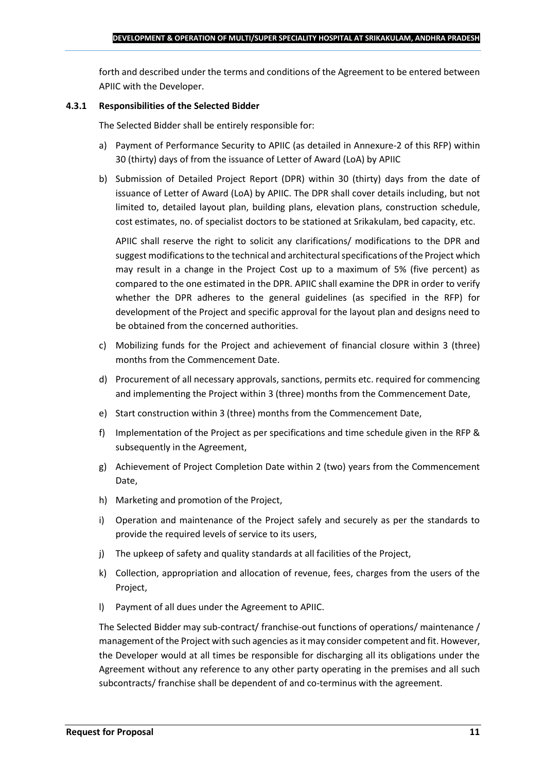forth and described under the terms and conditions of the Agreement to be entered between APIIC with the Developer.

#### **4.3.1 Responsibilities of the Selected Bidder**

The Selected Bidder shall be entirely responsible for:

- a) Payment of Performance Security to APIIC (as detailed in Annexure-2 of this RFP) within 30 (thirty) days of from the issuance of Letter of Award (LoA) by APIIC
- b) Submission of Detailed Project Report (DPR) within 30 (thirty) days from the date of issuance of Letter of Award (LoA) by APIIC. The DPR shall cover details including, but not limited to, detailed layout plan, building plans, elevation plans, construction schedule, cost estimates, no. of specialist doctors to be stationed at Srikakulam, bed capacity, etc.

APIIC shall reserve the right to solicit any clarifications/ modifications to the DPR and suggest modifications to the technical and architectural specifications of the Project which may result in a change in the Project Cost up to a maximum of 5% (five percent) as compared to the one estimated in the DPR. APIIC shall examine the DPR in order to verify whether the DPR adheres to the general guidelines (as specified in the RFP) for development of the Project and specific approval for the layout plan and designs need to be obtained from the concerned authorities.

- c) Mobilizing funds for the Project and achievement of financial closure within 3 (three) months from the Commencement Date.
- d) Procurement of all necessary approvals, sanctions, permits etc. required for commencing and implementing the Project within 3 (three) months from the Commencement Date,
- e) Start construction within 3 (three) months from the Commencement Date,
- f) Implementation of the Project as per specifications and time schedule given in the RFP & subsequently in the Agreement,
- g) Achievement of Project Completion Date within 2 (two) years from the Commencement Date,
- h) Marketing and promotion of the Project,
- i) Operation and maintenance of the Project safely and securely as per the standards to provide the required levels of service to its users,
- j) The upkeep of safety and quality standards at all facilities of the Project,
- k) Collection, appropriation and allocation of revenue, fees, charges from the users of the Project,
- l) Payment of all dues under the Agreement to APIIC.

The Selected Bidder may sub-contract/ franchise-out functions of operations/ maintenance / management of the Project with such agencies as it may consider competent and fit. However, the Developer would at all times be responsible for discharging all its obligations under the Agreement without any reference to any other party operating in the premises and all such subcontracts/ franchise shall be dependent of and co-terminus with the agreement.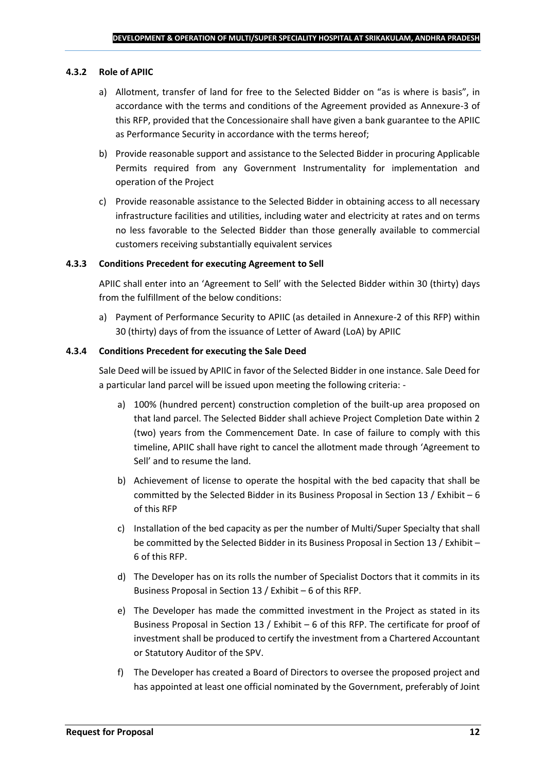#### **4.3.2 Role of APIIC**

- a) Allotment, transfer of land for free to the Selected Bidder on "as is where is basis", in accordance with the terms and conditions of the Agreement provided as Annexure-3 of this RFP, provided that the Concessionaire shall have given a bank guarantee to the APIIC as Performance Security in accordance with the terms hereof;
- b) Provide reasonable support and assistance to the Selected Bidder in procuring Applicable Permits required from any Government Instrumentality for implementation and operation of the Project
- c) Provide reasonable assistance to the Selected Bidder in obtaining access to all necessary infrastructure facilities and utilities, including water and electricity at rates and on terms no less favorable to the Selected Bidder than those generally available to commercial customers receiving substantially equivalent services

#### **4.3.3 Conditions Precedent for executing Agreement to Sell**

APIIC shall enter into an 'Agreement to Sell' with the Selected Bidder within 30 (thirty) days from the fulfillment of the below conditions:

a) Payment of Performance Security to APIIC (as detailed in Annexure-2 of this RFP) within 30 (thirty) days of from the issuance of Letter of Award (LoA) by APIIC

#### **4.3.4 Conditions Precedent for executing the Sale Deed**

Sale Deed will be issued by APIIC in favor of the Selected Bidder in one instance. Sale Deed for a particular land parcel will be issued upon meeting the following criteria: -

- a) 100% (hundred percent) construction completion of the built-up area proposed on that land parcel. The Selected Bidder shall achieve Project Completion Date within 2 (two) years from the Commencement Date. In case of failure to comply with this timeline, APIIC shall have right to cancel the allotment made through 'Agreement to Sell' and to resume the land.
- b) Achievement of license to operate the hospital with the bed capacity that shall be committed by the Selected Bidder in its Business Proposal in Section 13 / Exhibit – 6 of this RFP
- c) Installation of the bed capacity as per the number of Multi/Super Specialty that shall be committed by the Selected Bidder in its Business Proposal in Section 13 / Exhibit – 6 of this RFP.
- d) The Developer has on its rolls the number of Specialist Doctors that it commits in its Business Proposal in Section 13 / Exhibit – 6 of this RFP.
- e) The Developer has made the committed investment in the Project as stated in its Business Proposal in Section 13 / Exhibit – 6 of this RFP. The certificate for proof of investment shall be produced to certify the investment from a Chartered Accountant or Statutory Auditor of the SPV.
- f) The Developer has created a Board of Directors to oversee the proposed project and has appointed at least one official nominated by the Government, preferably of Joint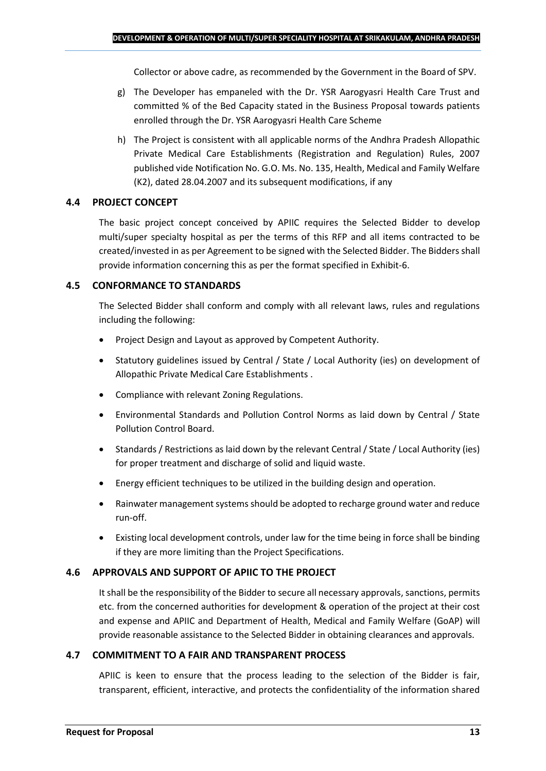Collector or above cadre, as recommended by the Government in the Board of SPV.

- g) The Developer has empaneled with the Dr. YSR Aarogyasri Health Care Trust and committed % of the Bed Capacity stated in the Business Proposal towards patients enrolled through the Dr. YSR Aarogyasri Health Care Scheme
- h) The Project is consistent with all applicable norms of the Andhra Pradesh Allopathic Private Medical Care Establishments (Registration and Regulation) Rules, 2007 published vide Notification No. G.O. Ms. No. 135, Health, Medical and Family Welfare (K2), dated 28.04.2007 and its subsequent modifications, if any

## **4.4 PROJECT CONCEPT**

The basic project concept conceived by APIIC requires the Selected Bidder to develop multi/super specialty hospital as per the terms of this RFP and all items contracted to be created/invested in as per Agreement to be signed with the Selected Bidder. The Bidders shall provide information concerning this as per the format specified in Exhibit-6.

## **4.5 CONFORMANCE TO STANDARDS**

The Selected Bidder shall conform and comply with all relevant laws, rules and regulations including the following:

- Project Design and Layout as approved by Competent Authority.
- Statutory guidelines issued by Central / State / Local Authority (ies) on development of Allopathic Private Medical Care Establishments .
- Compliance with relevant Zoning Regulations.
- Environmental Standards and Pollution Control Norms as laid down by Central / State Pollution Control Board.
- Standards / Restrictions as laid down by the relevant Central / State / Local Authority (ies) for proper treatment and discharge of solid and liquid waste.
- Energy efficient techniques to be utilized in the building design and operation.
- Rainwater management systems should be adopted to recharge ground water and reduce run-off.
- Existing local development controls, under law for the time being in force shall be binding if they are more limiting than the Project Specifications.

## **4.6 APPROVALS AND SUPPORT OF APIIC TO THE PROJECT**

It shall be the responsibility of the Bidder to secure all necessary approvals, sanctions, permits etc. from the concerned authorities for development & operation of the project at their cost and expense and APIIC and Department of Health, Medical and Family Welfare (GoAP) will provide reasonable assistance to the Selected Bidder in obtaining clearances and approvals.

#### **4.7 COMMITMENT TO A FAIR AND TRANSPARENT PROCESS**

APIIC is keen to ensure that the process leading to the selection of the Bidder is fair, transparent, efficient, interactive, and protects the confidentiality of the information shared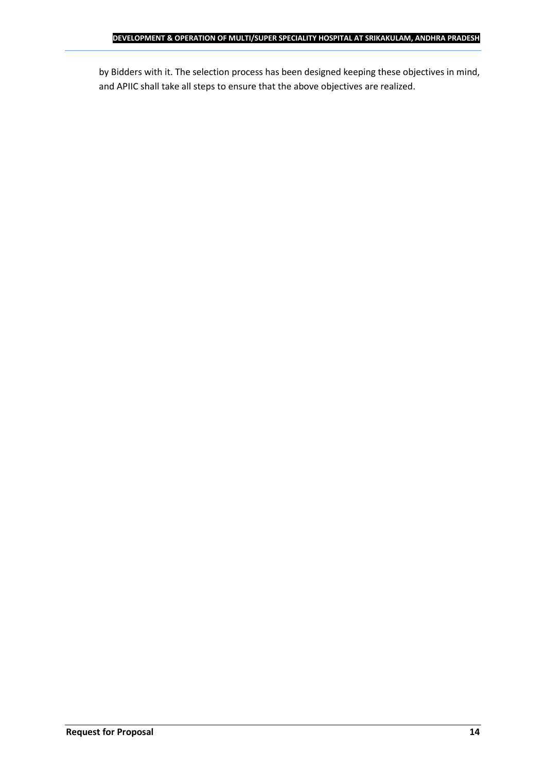by Bidders with it. The selection process has been designed keeping these objectives in mind, and APIIC shall take all steps to ensure that the above objectives are realized.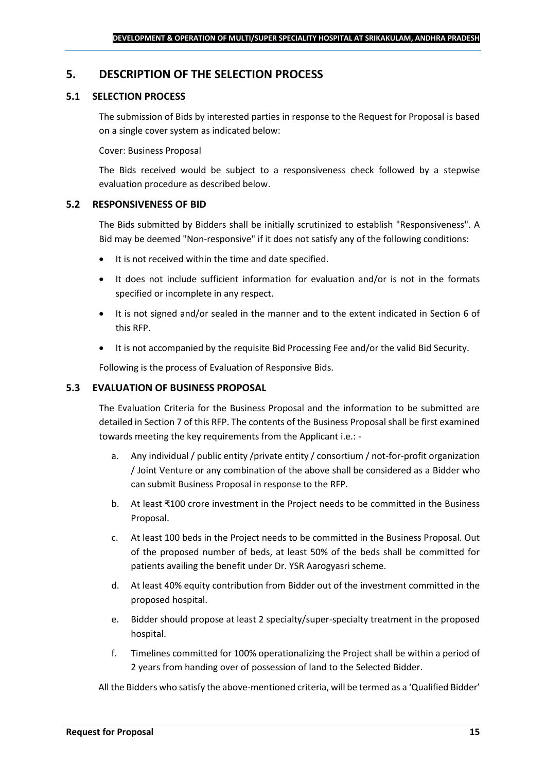## <span id="page-14-0"></span>**5. DESCRIPTION OF THE SELECTION PROCESS**

## **5.1 SELECTION PROCESS**

The submission of Bids by interested parties in response to the Request for Proposal is based on a single cover system as indicated below:

#### Cover: Business Proposal

The Bids received would be subject to a responsiveness check followed by a stepwise evaluation procedure as described below.

#### **5.2 RESPONSIVENESS OF BID**

The Bids submitted by Bidders shall be initially scrutinized to establish "Responsiveness". A Bid may be deemed "Non-responsive" if it does not satisfy any of the following conditions:

- It is not received within the time and date specified.
- It does not include sufficient information for evaluation and/or is not in the formats specified or incomplete in any respect.
- It is not signed and/or sealed in the manner and to the extent indicated in Section 6 of this RFP.
- It is not accompanied by the requisite Bid Processing Fee and/or the valid Bid Security.

Following is the process of Evaluation of Responsive Bids.

### **5.3 EVALUATION OF BUSINESS PROPOSAL**

The Evaluation Criteria for the Business Proposal and the information to be submitted are detailed in Section 7 of this RFP. The contents of the Business Proposal shall be first examined towards meeting the key requirements from the Applicant i.e.: -

- a. Any individual / public entity / private entity / consortium / not-for-profit organization / Joint Venture or any combination of the above shall be considered as a Bidder who can submit Business Proposal in response to the RFP.
- b. At least ₹100 crore investment in the Project needs to be committed in the Business Proposal.
- c. At least 100 beds in the Project needs to be committed in the Business Proposal. Out of the proposed number of beds, at least 50% of the beds shall be committed for patients availing the benefit under Dr. YSR Aarogyasri scheme.
- d. At least 40% equity contribution from Bidder out of the investment committed in the proposed hospital.
- e. Bidder should propose at least 2 specialty/super-specialty treatment in the proposed hospital.
- f. Timelines committed for 100% operationalizing the Project shall be within a period of 2 years from handing over of possession of land to the Selected Bidder.

All the Bidders who satisfy the above-mentioned criteria, will be termed as a 'Qualified Bidder'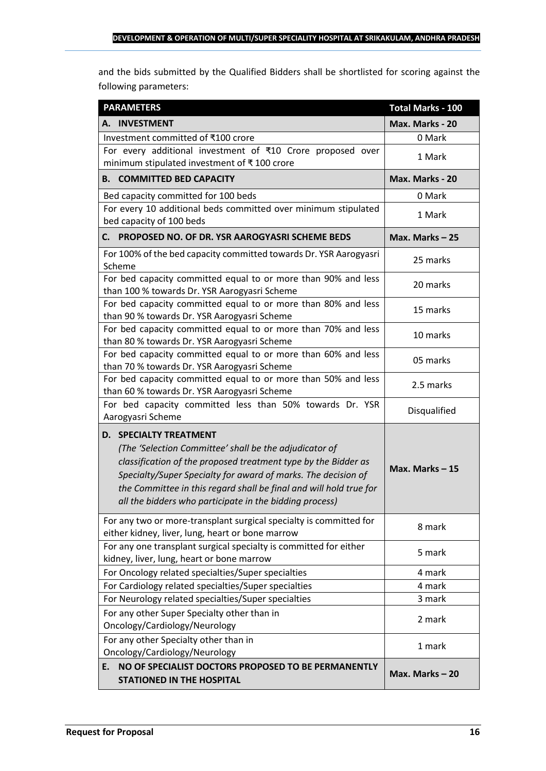and the bids submitted by the Qualified Bidders shall be shortlisted for scoring against the following parameters:

| <b>PARAMETERS</b>                                                                                                                                                                                                                                                                                                                                           | <b>Total Marks - 100</b> |  |
|-------------------------------------------------------------------------------------------------------------------------------------------------------------------------------------------------------------------------------------------------------------------------------------------------------------------------------------------------------------|--------------------------|--|
| A. INVESTMENT                                                                                                                                                                                                                                                                                                                                               | Max. Marks - 20          |  |
| Investment committed of ₹100 crore                                                                                                                                                                                                                                                                                                                          | 0 Mark                   |  |
| For every additional investment of ₹10 Crore proposed over<br>minimum stipulated investment of ₹100 crore                                                                                                                                                                                                                                                   | 1 Mark                   |  |
| <b>B. COMMITTED BED CAPACITY</b>                                                                                                                                                                                                                                                                                                                            | Max. Marks - 20          |  |
| Bed capacity committed for 100 beds                                                                                                                                                                                                                                                                                                                         | 0 Mark                   |  |
| For every 10 additional beds committed over minimum stipulated<br>bed capacity of 100 beds                                                                                                                                                                                                                                                                  | 1 Mark                   |  |
| PROPOSED NO. OF DR. YSR AAROGYASRI SCHEME BEDS<br>C.                                                                                                                                                                                                                                                                                                        | Max. Marks $-25$         |  |
| For 100% of the bed capacity committed towards Dr. YSR Aarogyasri<br>Scheme                                                                                                                                                                                                                                                                                 | 25 marks                 |  |
| For bed capacity committed equal to or more than 90% and less<br>than 100 % towards Dr. YSR Aarogyasri Scheme                                                                                                                                                                                                                                               | 20 marks                 |  |
| For bed capacity committed equal to or more than 80% and less<br>than 90 % towards Dr. YSR Aarogyasri Scheme                                                                                                                                                                                                                                                | 15 marks                 |  |
| For bed capacity committed equal to or more than 70% and less<br>than 80 % towards Dr. YSR Aarogyasri Scheme                                                                                                                                                                                                                                                | 10 marks                 |  |
| For bed capacity committed equal to or more than 60% and less<br>than 70 % towards Dr. YSR Aarogyasri Scheme                                                                                                                                                                                                                                                | 05 marks                 |  |
| For bed capacity committed equal to or more than 50% and less<br>than 60 % towards Dr. YSR Aarogyasri Scheme                                                                                                                                                                                                                                                | 2.5 marks                |  |
| For bed capacity committed less than 50% towards Dr. YSR<br>Aarogyasri Scheme                                                                                                                                                                                                                                                                               | Disqualified             |  |
| <b>D. SPECIALTY TREATMENT</b><br>(The 'Selection Committee' shall be the adjudicator of<br>classification of the proposed treatment type by the Bidder as<br>Specialty/Super Specialty for award of marks. The decision of<br>the Committee in this regard shall be final and will hold true for<br>all the bidders who participate in the bidding process) | Max. Marks $-15$         |  |
| For any two or more-transplant surgical specialty is committed for<br>either kidney, liver, lung, heart or bone marrow                                                                                                                                                                                                                                      | 8 mark                   |  |
| For any one transplant surgical specialty is committed for either<br>kidney, liver, lung, heart or bone marrow                                                                                                                                                                                                                                              | 5 mark                   |  |
| For Oncology related specialties/Super specialties                                                                                                                                                                                                                                                                                                          | 4 mark                   |  |
| For Cardiology related specialties/Super specialties                                                                                                                                                                                                                                                                                                        | 4 mark                   |  |
| For Neurology related specialties/Super specialties                                                                                                                                                                                                                                                                                                         | 3 mark                   |  |
| For any other Super Specialty other than in<br>Oncology/Cardiology/Neurology                                                                                                                                                                                                                                                                                | 2 mark                   |  |
| For any other Specialty other than in<br>Oncology/Cardiology/Neurology                                                                                                                                                                                                                                                                                      | 1 mark                   |  |
| NO OF SPECIALIST DOCTORS PROPOSED TO BE PERMANENTLY<br>E.<br><b>STATIONED IN THE HOSPITAL</b>                                                                                                                                                                                                                                                               | Max. Marks-20            |  |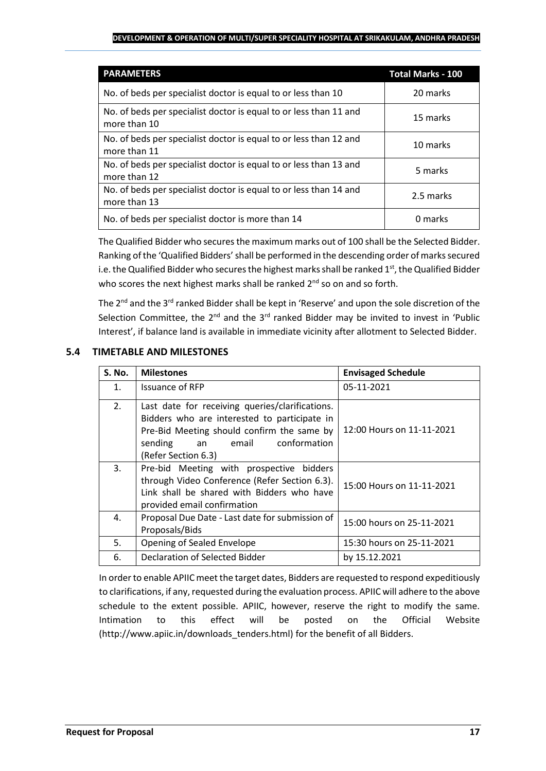#### **DEVELOPMENT & OPERATION OF MULTI/SUPER SPECIALITY HOSPITAL AT SRIKAKULAM, ANDHRA PRADESH**

| <b>PARAMETERS</b>                                                                 | <b>Total Marks - 100</b> |
|-----------------------------------------------------------------------------------|--------------------------|
| No. of beds per specialist doctor is equal to or less than 10                     | 20 marks                 |
| No. of beds per specialist doctor is equal to or less than 11 and<br>more than 10 | 15 marks                 |
| No. of beds per specialist doctor is equal to or less than 12 and<br>more than 11 | 10 marks                 |
| No. of beds per specialist doctor is equal to or less than 13 and<br>more than 12 | 5 marks                  |
| No. of beds per specialist doctor is equal to or less than 14 and<br>more than 13 | 2.5 marks                |
| No. of beds per specialist doctor is more than 14                                 | 0 marks                  |

The Qualified Bidder who secures the maximum marks out of 100 shall be the Selected Bidder. Ranking of the 'Qualified Bidders'shall be performed in the descending order of marks secured i.e. the Qualified Bidder who secures the highest marks shall be ranked 1<sup>st</sup>, the Qualified Bidder who scores the next highest marks shall be ranked 2<sup>nd</sup> so on and so forth.

The  $2^{nd}$  and the  $3^{rd}$  ranked Bidder shall be kept in 'Reserve' and upon the sole discretion of the Selection Committee, the  $2^{nd}$  and the  $3^{rd}$  ranked Bidder may be invited to invest in 'Public Interest', if balance land is available in immediate vicinity after allotment to Selected Bidder.

## **5.4 TIMETABLE AND MILESTONES**

| <b>S. No.</b> | <b>Milestones</b>                                                                                                                                                                                              | <b>Envisaged Schedule</b> |
|---------------|----------------------------------------------------------------------------------------------------------------------------------------------------------------------------------------------------------------|---------------------------|
| 1.            | Issuance of RFP                                                                                                                                                                                                | 05-11-2021                |
| 2.            | Last date for receiving queries/clarifications.<br>Bidders who are interested to participate in<br>Pre-Bid Meeting should confirm the same by<br>conformation<br>sending<br>email<br>an<br>(Refer Section 6.3) | 12:00 Hours on 11-11-2021 |
| 3.            | Pre-bid Meeting with prospective bidders<br>through Video Conference (Refer Section 6.3).<br>Link shall be shared with Bidders who have<br>provided email confirmation                                         | 15:00 Hours on 11-11-2021 |
| 4.            | Proposal Due Date - Last date for submission of<br>Proposals/Bids                                                                                                                                              | 15:00 hours on 25-11-2021 |
| 5.            | Opening of Sealed Envelope                                                                                                                                                                                     | 15:30 hours on 25-11-2021 |
| 6.            | Declaration of Selected Bidder                                                                                                                                                                                 | by 15.12.2021             |

In order to enable APIIC meet the target dates, Bidders are requested to respond expeditiously to clarifications, if any, requested during the evaluation process. APIIC will adhere to the above schedule to the extent possible. APIIC, however, reserve the right to modify the same. Intimation to this effect will be posted on the Official Website (http://www.apiic.in/downloads\_tenders.html) for the benefit of all Bidders.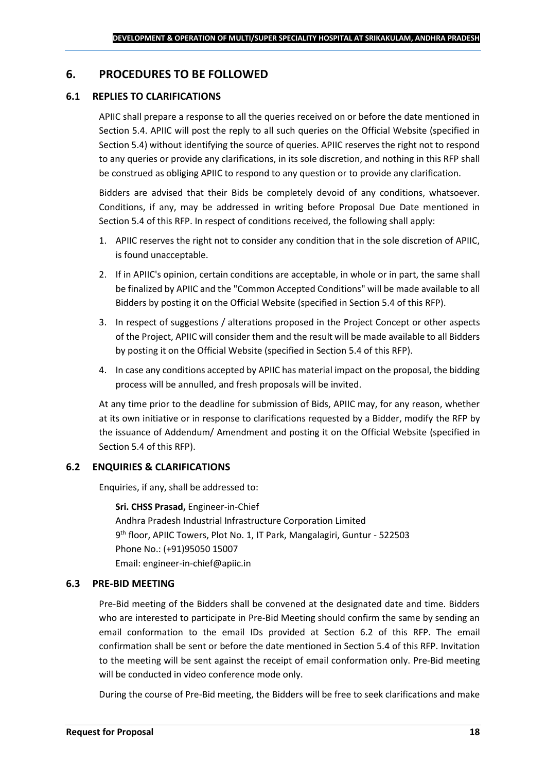## <span id="page-17-0"></span>**6. PROCEDURES TO BE FOLLOWED**

#### **6.1 REPLIES TO CLARIFICATIONS**

APIIC shall prepare a response to all the queries received on or before the date mentioned in Section 5.4. APIIC will post the reply to all such queries on the Official Website (specified in Section 5.4) without identifying the source of queries. APIIC reserves the right not to respond to any queries or provide any clarifications, in its sole discretion, and nothing in this RFP shall be construed as obliging APIIC to respond to any question or to provide any clarification.

Bidders are advised that their Bids be completely devoid of any conditions, whatsoever. Conditions, if any, may be addressed in writing before Proposal Due Date mentioned in Section 5.4 of this RFP. In respect of conditions received, the following shall apply:

- 1. APIIC reserves the right not to consider any condition that in the sole discretion of APIIC, is found unacceptable.
- 2. If in APIIC's opinion, certain conditions are acceptable, in whole or in part, the same shall be finalized by APIIC and the "Common Accepted Conditions" will be made available to all Bidders by posting it on the Official Website (specified in Section 5.4 of this RFP).
- 3. In respect of suggestions / alterations proposed in the Project Concept or other aspects of the Project, APIIC will consider them and the result will be made available to all Bidders by posting it on the Official Website (specified in Section 5.4 of this RFP).
- 4. In case any conditions accepted by APIIC has material impact on the proposal, the bidding process will be annulled, and fresh proposals will be invited.

At any time prior to the deadline for submission of Bids, APIIC may, for any reason, whether at its own initiative or in response to clarifications requested by a Bidder, modify the RFP by the issuance of Addendum/ Amendment and posting it on the Official Website (specified in Section 5.4 of this RFP).

#### **6.2 ENQUIRIES & CLARIFICATIONS**

Enquiries, if any, shall be addressed to:

**Sri. CHSS Prasad,** Engineer-in-Chief Andhra Pradesh Industrial Infrastructure Corporation Limited 9 th floor, APIIC Towers, Plot No. 1, IT Park, Mangalagiri, Guntur - 522503 Phone No.: (+91)95050 15007 Email: engineer-in-chief@apiic.in

#### **6.3 PRE-BID MEETING**

Pre-Bid meeting of the Bidders shall be convened at the designated date and time. Bidders who are interested to participate in Pre-Bid Meeting should confirm the same by sending an email conformation to the email IDs provided at Section 6.2 of this RFP. The email confirmation shall be sent or before the date mentioned in Section 5.4 of this RFP. Invitation to the meeting will be sent against the receipt of email conformation only. Pre-Bid meeting will be conducted in video conference mode only.

During the course of Pre-Bid meeting, the Bidders will be free to seek clarifications and make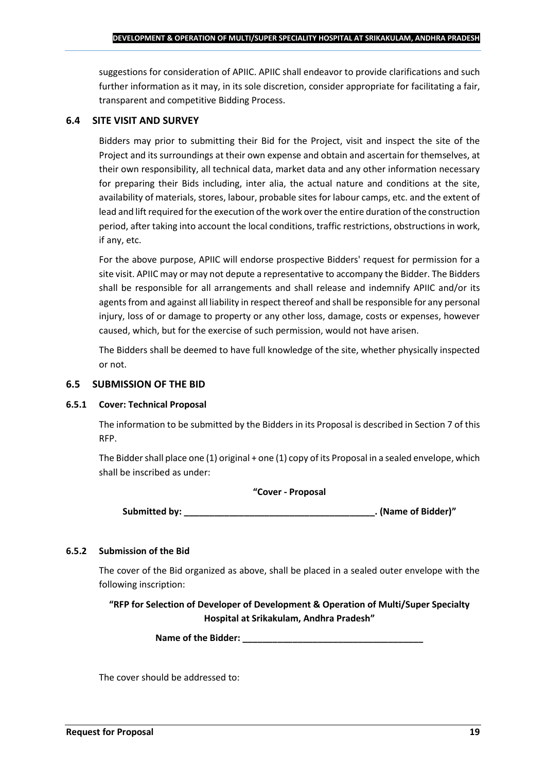suggestions for consideration of APIIC. APIIC shall endeavor to provide clarifications and such further information as it may, in its sole discretion, consider appropriate for facilitating a fair, transparent and competitive Bidding Process.

## **6.4 SITE VISIT AND SURVEY**

Bidders may prior to submitting their Bid for the Project, visit and inspect the site of the Project and its surroundings at their own expense and obtain and ascertain for themselves, at their own responsibility, all technical data, market data and any other information necessary for preparing their Bids including, inter alia, the actual nature and conditions at the site, availability of materials, stores, labour, probable sites for labour camps, etc. and the extent of lead and lift required for the execution of the work over the entire duration of the construction period, after taking into account the local conditions, traffic restrictions, obstructions in work, if any, etc.

For the above purpose, APIIC will endorse prospective Bidders' request for permission for a site visit. APIIC may or may not depute a representative to accompany the Bidder. The Bidders shall be responsible for all arrangements and shall release and indemnify APIIC and/or its agents from and against all liability in respect thereof and shall be responsible for any personal injury, loss of or damage to property or any other loss, damage, costs or expenses, however caused, which, but for the exercise of such permission, would not have arisen.

The Bidders shall be deemed to have full knowledge of the site, whether physically inspected or not.

## **6.5 SUBMISSION OF THE BID**

#### **6.5.1 Cover: Technical Proposal**

The information to be submitted by the Bidders in its Proposal is described in Section 7 of this RFP.

The Bidder shall place one (1) original + one (1) copy of its Proposal in a sealed envelope, which shall be inscribed as under:

#### **"Cover - Proposal**

**Submitted by: \_\_\_\_\_\_\_\_\_\_\_\_\_\_\_\_\_\_\_\_\_\_\_\_\_\_\_\_\_\_\_\_\_\_\_\_\_\_. (Name of Bidder)"**

## **6.5.2 Submission of the Bid**

The cover of the Bid organized as above, shall be placed in a sealed outer envelope with the following inscription:

**"RFP for Selection of Developer of Development & Operation of Multi/Super Specialty Hospital at Srikakulam, Andhra Pradesh"**

Name of the Bidder: **We are also asset to the Bidder**:

The cover should be addressed to: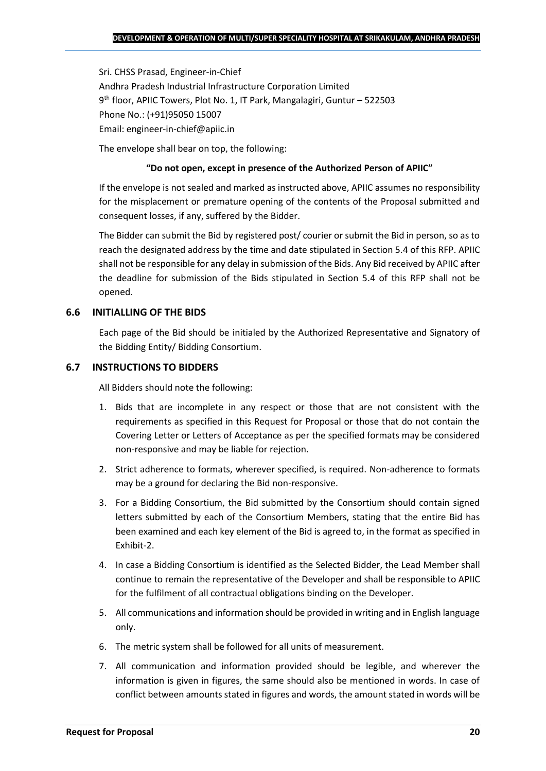Sri. CHSS Prasad, Engineer-in-Chief Andhra Pradesh Industrial Infrastructure Corporation Limited 9 th floor, APIIC Towers, Plot No. 1, IT Park, Mangalagiri, Guntur – 522503 Phone No.: (+91)95050 15007 Email: engineer-in-chief@apiic.in

The envelope shall bear on top, the following:

### **"Do not open, except in presence of the Authorized Person of APIIC"**

If the envelope is not sealed and marked as instructed above, APIIC assumes no responsibility for the misplacement or premature opening of the contents of the Proposal submitted and consequent losses, if any, suffered by the Bidder.

The Bidder can submit the Bid by registered post/ courier or submit the Bid in person, so as to reach the designated address by the time and date stipulated in Section 5.4 of this RFP. APIIC shall not be responsible for any delay in submission of the Bids. Any Bid received by APIIC after the deadline for submission of the Bids stipulated in Section 5.4 of this RFP shall not be opened.

## **6.6 INITIALLING OF THE BIDS**

Each page of the Bid should be initialed by the Authorized Representative and Signatory of the Bidding Entity/ Bidding Consortium.

## **6.7 INSTRUCTIONS TO BIDDERS**

All Bidders should note the following:

- 1. Bids that are incomplete in any respect or those that are not consistent with the requirements as specified in this Request for Proposal or those that do not contain the Covering Letter or Letters of Acceptance as per the specified formats may be considered non-responsive and may be liable for rejection.
- 2. Strict adherence to formats, wherever specified, is required. Non-adherence to formats may be a ground for declaring the Bid non-responsive.
- 3. For a Bidding Consortium, the Bid submitted by the Consortium should contain signed letters submitted by each of the Consortium Members, stating that the entire Bid has been examined and each key element of the Bid is agreed to, in the format as specified in Exhibit-2.
- 4. In case a Bidding Consortium is identified as the Selected Bidder, the Lead Member shall continue to remain the representative of the Developer and shall be responsible to APIIC for the fulfilment of all contractual obligations binding on the Developer.
- 5. All communications and information should be provided in writing and in English language only.
- 6. The metric system shall be followed for all units of measurement.
- 7. All communication and information provided should be legible, and wherever the information is given in figures, the same should also be mentioned in words. In case of conflict between amounts stated in figures and words, the amount stated in words will be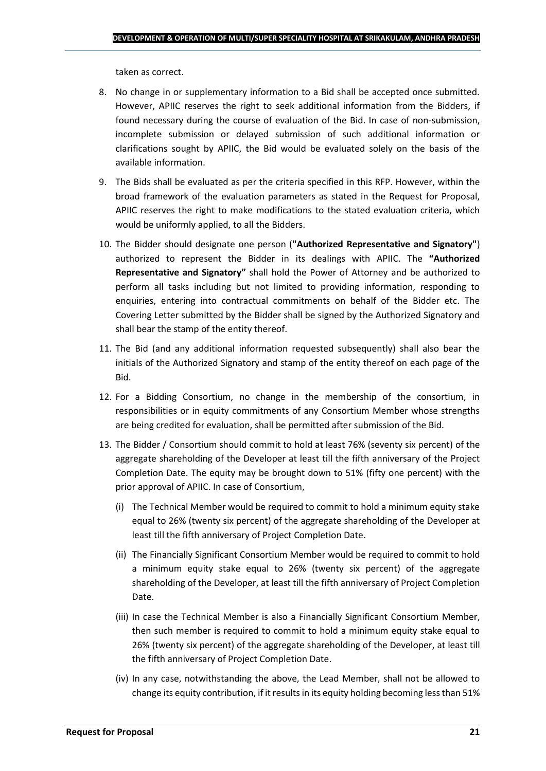taken as correct.

- 8. No change in or supplementary information to a Bid shall be accepted once submitted. However, APIIC reserves the right to seek additional information from the Bidders, if found necessary during the course of evaluation of the Bid. In case of non-submission, incomplete submission or delayed submission of such additional information or clarifications sought by APIIC, the Bid would be evaluated solely on the basis of the available information.
- 9. The Bids shall be evaluated as per the criteria specified in this RFP. However, within the broad framework of the evaluation parameters as stated in the Request for Proposal, APIIC reserves the right to make modifications to the stated evaluation criteria, which would be uniformly applied, to all the Bidders.
- 10. The Bidder should designate one person (**"Authorized Representative and Signatory"**) authorized to represent the Bidder in its dealings with APIIC. The **"Authorized Representative and Signatory"** shall hold the Power of Attorney and be authorized to perform all tasks including but not limited to providing information, responding to enquiries, entering into contractual commitments on behalf of the Bidder etc. The Covering Letter submitted by the Bidder shall be signed by the Authorized Signatory and shall bear the stamp of the entity thereof.
- 11. The Bid (and any additional information requested subsequently) shall also bear the initials of the Authorized Signatory and stamp of the entity thereof on each page of the Bid.
- 12. For a Bidding Consortium, no change in the membership of the consortium, in responsibilities or in equity commitments of any Consortium Member whose strengths are being credited for evaluation, shall be permitted after submission of the Bid.
- 13. The Bidder / Consortium should commit to hold at least 76% (seventy six percent) of the aggregate shareholding of the Developer at least till the fifth anniversary of the Project Completion Date. The equity may be brought down to 51% (fifty one percent) with the prior approval of APIIC. In case of Consortium,
	- (i) The Technical Member would be required to commit to hold a minimum equity stake equal to 26% (twenty six percent) of the aggregate shareholding of the Developer at least till the fifth anniversary of Project Completion Date.
	- (ii) The Financially Significant Consortium Member would be required to commit to hold a minimum equity stake equal to 26% (twenty six percent) of the aggregate shareholding of the Developer, at least till the fifth anniversary of Project Completion Date.
	- (iii) In case the Technical Member is also a Financially Significant Consortium Member, then such member is required to commit to hold a minimum equity stake equal to 26% (twenty six percent) of the aggregate shareholding of the Developer, at least till the fifth anniversary of Project Completion Date.
	- (iv) In any case, notwithstanding the above, the Lead Member, shall not be allowed to change its equity contribution, if it results in its equity holding becoming less than 51%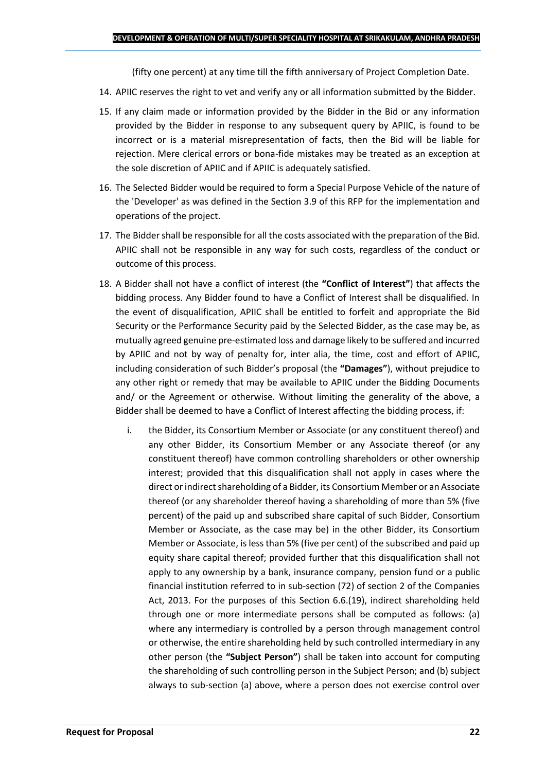(fifty one percent) at any time till the fifth anniversary of Project Completion Date.

- 14. APIIC reserves the right to vet and verify any or all information submitted by the Bidder.
- 15. If any claim made or information provided by the Bidder in the Bid or any information provided by the Bidder in response to any subsequent query by APIIC, is found to be incorrect or is a material misrepresentation of facts, then the Bid will be liable for rejection. Mere clerical errors or bona-fide mistakes may be treated as an exception at the sole discretion of APIIC and if APIIC is adequately satisfied.
- 16. The Selected Bidder would be required to form a Special Purpose Vehicle of the nature of the 'Developer' as was defined in the Section 3.9 of this RFP for the implementation and operations of the project.
- 17. The Bidder shall be responsible for all the costs associated with the preparation of the Bid. APIIC shall not be responsible in any way for such costs, regardless of the conduct or outcome of this process.
- 18. A Bidder shall not have a conflict of interest (the **"Conflict of Interest"**) that affects the bidding process. Any Bidder found to have a Conflict of Interest shall be disqualified. In the event of disqualification, APIIC shall be entitled to forfeit and appropriate the Bid Security or the Performance Security paid by the Selected Bidder, as the case may be, as mutually agreed genuine pre-estimated loss and damage likely to be suffered and incurred by APIIC and not by way of penalty for, inter alia, the time, cost and effort of APIIC, including consideration of such Bidder's proposal (the **"Damages"**), without prejudice to any other right or remedy that may be available to APIIC under the Bidding Documents and/ or the Agreement or otherwise. Without limiting the generality of the above, a Bidder shall be deemed to have a Conflict of Interest affecting the bidding process, if:
	- i. the Bidder, its Consortium Member or Associate (or any constituent thereof) and any other Bidder, its Consortium Member or any Associate thereof (or any constituent thereof) have common controlling shareholders or other ownership interest; provided that this disqualification shall not apply in cases where the direct or indirect shareholding of a Bidder, its Consortium Member or an Associate thereof (or any shareholder thereof having a shareholding of more than 5% (five percent) of the paid up and subscribed share capital of such Bidder, Consortium Member or Associate, as the case may be) in the other Bidder, its Consortium Member or Associate, is less than 5% (five per cent) of the subscribed and paid up equity share capital thereof; provided further that this disqualification shall not apply to any ownership by a bank, insurance company, pension fund or a public financial institution referred to in sub-section (72) of section 2 of the Companies Act, 2013. For the purposes of this Section 6.6.(19), indirect shareholding held through one or more intermediate persons shall be computed as follows: (a) where any intermediary is controlled by a person through management control or otherwise, the entire shareholding held by such controlled intermediary in any other person (the **"Subject Person"**) shall be taken into account for computing the shareholding of such controlling person in the Subject Person; and (b) subject always to sub-section (a) above, where a person does not exercise control over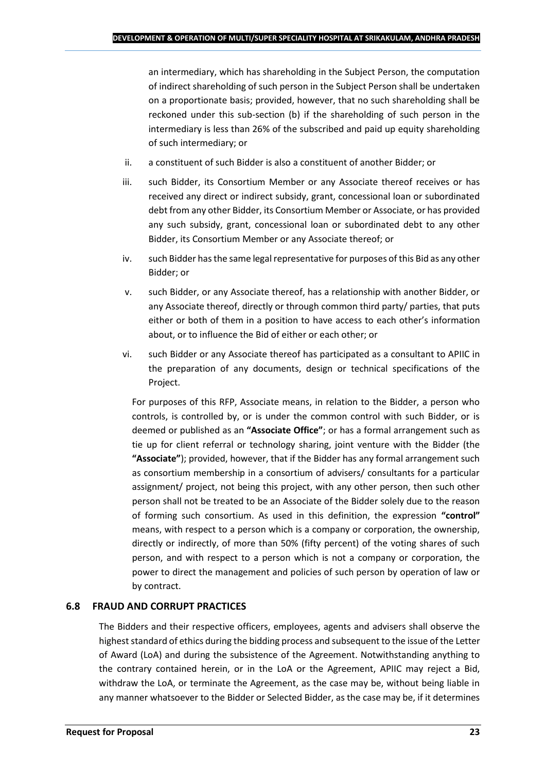an intermediary, which has shareholding in the Subject Person, the computation of indirect shareholding of such person in the Subject Person shall be undertaken on a proportionate basis; provided, however, that no such shareholding shall be reckoned under this sub-section (b) if the shareholding of such person in the intermediary is less than 26% of the subscribed and paid up equity shareholding of such intermediary; or

- ii. a constituent of such Bidder is also a constituent of another Bidder; or
- iii. such Bidder, its Consortium Member or any Associate thereof receives or has received any direct or indirect subsidy, grant, concessional loan or subordinated debt from any other Bidder, its Consortium Member or Associate, or has provided any such subsidy, grant, concessional loan or subordinated debt to any other Bidder, its Consortium Member or any Associate thereof; or
- iv. such Bidder has the same legal representative for purposes of this Bid as any other Bidder; or
- v. such Bidder, or any Associate thereof, has a relationship with another Bidder, or any Associate thereof, directly or through common third party/ parties, that puts either or both of them in a position to have access to each other's information about, or to influence the Bid of either or each other; or
- vi. such Bidder or any Associate thereof has participated as a consultant to APIIC in the preparation of any documents, design or technical specifications of the Project.

For purposes of this RFP, Associate means, in relation to the Bidder, a person who controls, is controlled by, or is under the common control with such Bidder, or is deemed or published as an **"Associate Office"**; or has a formal arrangement such as tie up for client referral or technology sharing, joint venture with the Bidder (the **"Associate"**); provided, however, that if the Bidder has any formal arrangement such as consortium membership in a consortium of advisers/ consultants for a particular assignment/ project, not being this project, with any other person, then such other person shall not be treated to be an Associate of the Bidder solely due to the reason of forming such consortium. As used in this definition, the expression **"control"**  means, with respect to a person which is a company or corporation, the ownership, directly or indirectly, of more than 50% (fifty percent) of the voting shares of such person, and with respect to a person which is not a company or corporation, the power to direct the management and policies of such person by operation of law or by contract.

## **6.8 FRAUD AND CORRUPT PRACTICES**

The Bidders and their respective officers, employees, agents and advisers shall observe the highest standard of ethics during the bidding process and subsequent to the issue of the Letter of Award (LoA) and during the subsistence of the Agreement. Notwithstanding anything to the contrary contained herein, or in the LoA or the Agreement, APIIC may reject a Bid, withdraw the LoA, or terminate the Agreement, as the case may be, without being liable in any manner whatsoever to the Bidder or Selected Bidder, as the case may be, if it determines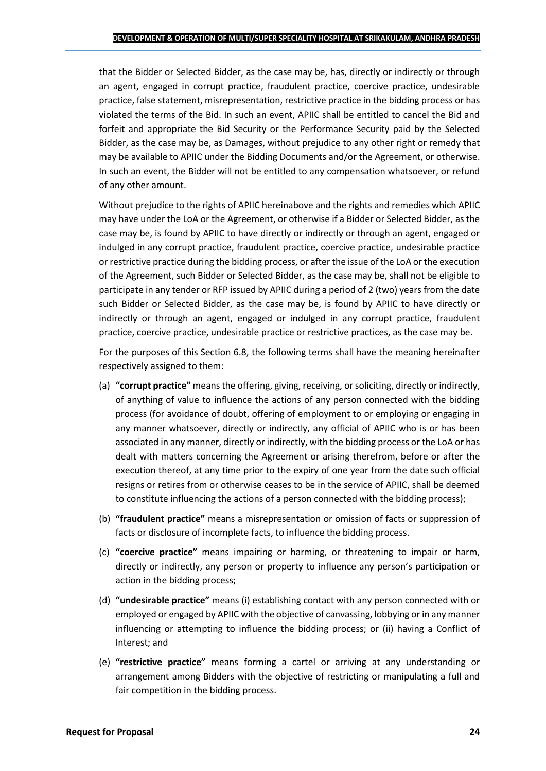that the Bidder or Selected Bidder, as the case may be, has, directly or indirectly or through an agent, engaged in corrupt practice, fraudulent practice, coercive practice, undesirable practice, false statement, misrepresentation, restrictive practice in the bidding process or has violated the terms of the Bid. In such an event, APIIC shall be entitled to cancel the Bid and forfeit and appropriate the Bid Security or the Performance Security paid by the Selected Bidder, as the case may be, as Damages, without prejudice to any other right or remedy that may be available to APIIC under the Bidding Documents and/or the Agreement, or otherwise. In such an event, the Bidder will not be entitled to any compensation whatsoever, or refund of any other amount.

Without prejudice to the rights of APIIC hereinabove and the rights and remedies which APIIC may have under the LoA or the Agreement, or otherwise if a Bidder or Selected Bidder, as the case may be, is found by APIIC to have directly or indirectly or through an agent, engaged or indulged in any corrupt practice, fraudulent practice, coercive practice, undesirable practice or restrictive practice during the bidding process, or after the issue of the LoA or the execution of the Agreement, such Bidder or Selected Bidder, as the case may be, shall not be eligible to participate in any tender or RFP issued by APIIC during a period of 2 (two) years from the date such Bidder or Selected Bidder, as the case may be, is found by APIIC to have directly or indirectly or through an agent, engaged or indulged in any corrupt practice, fraudulent practice, coercive practice, undesirable practice or restrictive practices, as the case may be.

For the purposes of this Section 6.8, the following terms shall have the meaning hereinafter respectively assigned to them:

- (a) **"corrupt practice"** means the offering, giving, receiving, or soliciting, directly or indirectly, of anything of value to influence the actions of any person connected with the bidding process (for avoidance of doubt, offering of employment to or employing or engaging in any manner whatsoever, directly or indirectly, any official of APIIC who is or has been associated in any manner, directly or indirectly, with the bidding process or the LoA or has dealt with matters concerning the Agreement or arising therefrom, before or after the execution thereof, at any time prior to the expiry of one year from the date such official resigns or retires from or otherwise ceases to be in the service of APIIC, shall be deemed to constitute influencing the actions of a person connected with the bidding process);
- (b) **"fraudulent practice"** means a misrepresentation or omission of facts or suppression of facts or disclosure of incomplete facts, to influence the bidding process.
- (c) **"coercive practice"** means impairing or harming, or threatening to impair or harm, directly or indirectly, any person or property to influence any person's participation or action in the bidding process;
- (d) **"undesirable practice"** means (i) establishing contact with any person connected with or employed or engaged by APIIC with the objective of canvassing, lobbying or in any manner influencing or attempting to influence the bidding process; or (ii) having a Conflict of Interest; and
- (e) **"restrictive practice"** means forming a cartel or arriving at any understanding or arrangement among Bidders with the objective of restricting or manipulating a full and fair competition in the bidding process.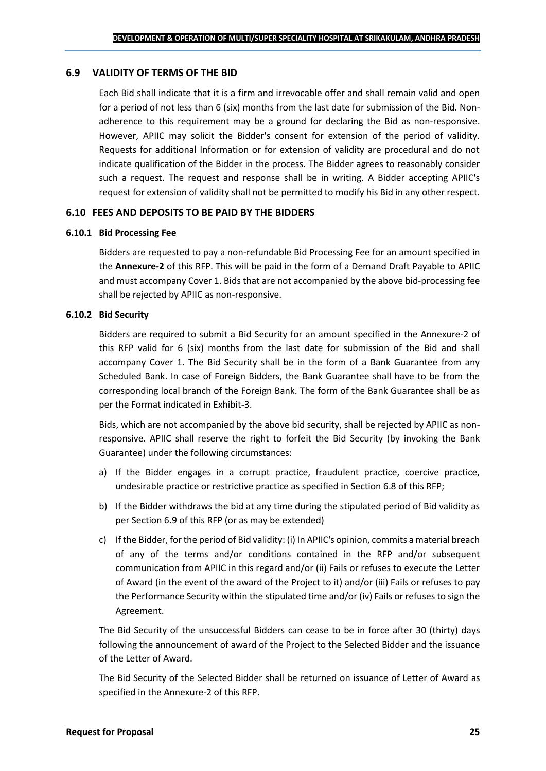#### **6.9 VALIDITY OF TERMS OF THE BID**

Each Bid shall indicate that it is a firm and irrevocable offer and shall remain valid and open for a period of not less than 6 (six) months from the last date for submission of the Bid. Nonadherence to this requirement may be a ground for declaring the Bid as non-responsive. However, APIIC may solicit the Bidder's consent for extension of the period of validity. Requests for additional Information or for extension of validity are procedural and do not indicate qualification of the Bidder in the process. The Bidder agrees to reasonably consider such a request. The request and response shall be in writing. A Bidder accepting APIIC's request for extension of validity shall not be permitted to modify his Bid in any other respect.

#### **6.10 FEES AND DEPOSITS TO BE PAID BY THE BIDDERS**

#### **6.10.1 Bid Processing Fee**

Bidders are requested to pay a non-refundable Bid Processing Fee for an amount specified in the **Annexure-2** of this RFP. This will be paid in the form of a Demand Draft Payable to APIIC and must accompany Cover 1. Bids that are not accompanied by the above bid-processing fee shall be rejected by APIIC as non-responsive.

#### **6.10.2 Bid Security**

Bidders are required to submit a Bid Security for an amount specified in the Annexure-2 of this RFP valid for 6 (six) months from the last date for submission of the Bid and shall accompany Cover 1. The Bid Security shall be in the form of a Bank Guarantee from any Scheduled Bank. In case of Foreign Bidders, the Bank Guarantee shall have to be from the corresponding local branch of the Foreign Bank. The form of the Bank Guarantee shall be as per the Format indicated in Exhibit-3.

Bids, which are not accompanied by the above bid security, shall be rejected by APIIC as nonresponsive. APIIC shall reserve the right to forfeit the Bid Security (by invoking the Bank Guarantee) under the following circumstances:

- a) If the Bidder engages in a corrupt practice, fraudulent practice, coercive practice, undesirable practice or restrictive practice as specified in Section 6.8 of this RFP;
- b) If the Bidder withdraws the bid at any time during the stipulated period of Bid validity as per Section 6.9 of this RFP (or as may be extended)
- c) If the Bidder, for the period of Bid validity: (i) In APIIC's opinion, commits a material breach of any of the terms and/or conditions contained in the RFP and/or subsequent communication from APIIC in this regard and/or (ii) Fails or refuses to execute the Letter of Award (in the event of the award of the Project to it) and/or (iii) Fails or refuses to pay the Performance Security within the stipulated time and/or (iv) Fails or refuses to sign the Agreement.

The Bid Security of the unsuccessful Bidders can cease to be in force after 30 (thirty) days following the announcement of award of the Project to the Selected Bidder and the issuance of the Letter of Award.

The Bid Security of the Selected Bidder shall be returned on issuance of Letter of Award as specified in the Annexure-2 of this RFP.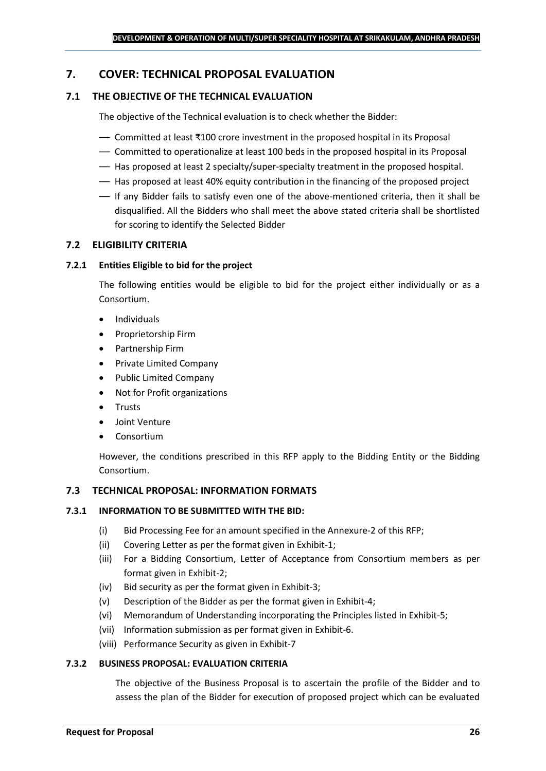## <span id="page-25-0"></span>**7. COVER: TECHNICAL PROPOSAL EVALUATION**

## **7.1 THE OBJECTIVE OF THE TECHNICAL EVALUATION**

The objective of the Technical evaluation is to check whether the Bidder:

- Committed at least ₹100 crore investment in the proposed hospital in its Proposal
- Committed to operationalize at least 100 beds in the proposed hospital in its Proposal
- Has proposed at least 2 specialty/super-specialty treatment in the proposed hospital.
- Has proposed at least 40% equity contribution in the financing of the proposed project
- If any Bidder fails to satisfy even one of the above-mentioned criteria, then it shall be disqualified. All the Bidders who shall meet the above stated criteria shall be shortlisted for scoring to identify the Selected Bidder

## **7.2 ELIGIBILITY CRITERIA**

#### **7.2.1 Entities Eligible to bid for the project**

The following entities would be eligible to bid for the project either individually or as a Consortium.

- Individuals
- Proprietorship Firm
- Partnership Firm
- Private Limited Company
- Public Limited Company
- Not for Profit organizations
- Trusts
- Joint Venture
- **Consortium**

However, the conditions prescribed in this RFP apply to the Bidding Entity or the Bidding Consortium.

#### **7.3 TECHNICAL PROPOSAL: INFORMATION FORMATS**

#### **7.3.1 INFORMATION TO BE SUBMITTED WITH THE BID:**

- (i) Bid Processing Fee for an amount specified in the Annexure-2 of this RFP;
- (ii) Covering Letter as per the format given in Exhibit-1;
- (iii) For a Bidding Consortium, Letter of Acceptance from Consortium members as per format given in Exhibit-2;
- (iv) Bid security as per the format given in Exhibit-3;
- (v) Description of the Bidder as per the format given in Exhibit-4;
- (vi) Memorandum of Understanding incorporating the Principles listed in Exhibit-5;
- (vii) Information submission as per format given in Exhibit-6.
- (viii) Performance Security as given in Exhibit-7

#### **7.3.2 BUSINESS PROPOSAL: EVALUATION CRITERIA**

The objective of the Business Proposal is to ascertain the profile of the Bidder and to assess the plan of the Bidder for execution of proposed project which can be evaluated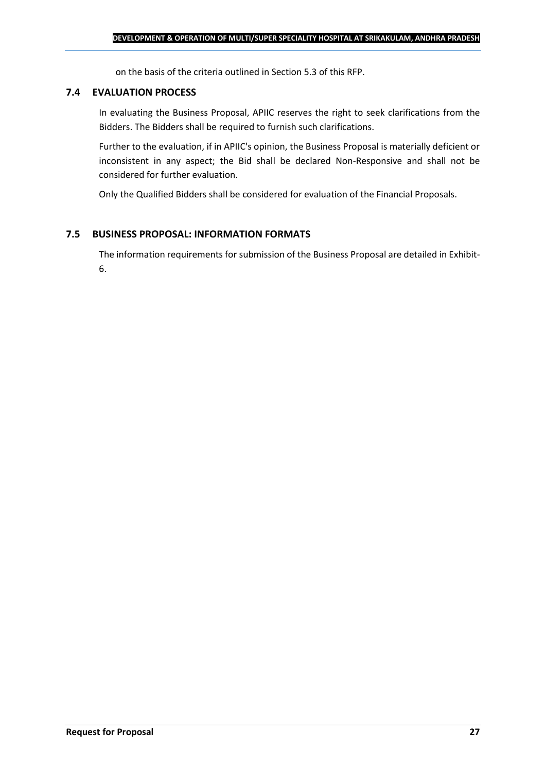on the basis of the criteria outlined in Section 5.3 of this RFP.

### **7.4 EVALUATION PROCESS**

In evaluating the Business Proposal, APIIC reserves the right to seek clarifications from the Bidders. The Bidders shall be required to furnish such clarifications.

Further to the evaluation, if in APIIC's opinion, the Business Proposal is materially deficient or inconsistent in any aspect; the Bid shall be declared Non-Responsive and shall not be considered for further evaluation.

Only the Qualified Bidders shall be considered for evaluation of the Financial Proposals.

## **7.5 BUSINESS PROPOSAL: INFORMATION FORMATS**

The information requirements for submission of the Business Proposal are detailed in Exhibit-6.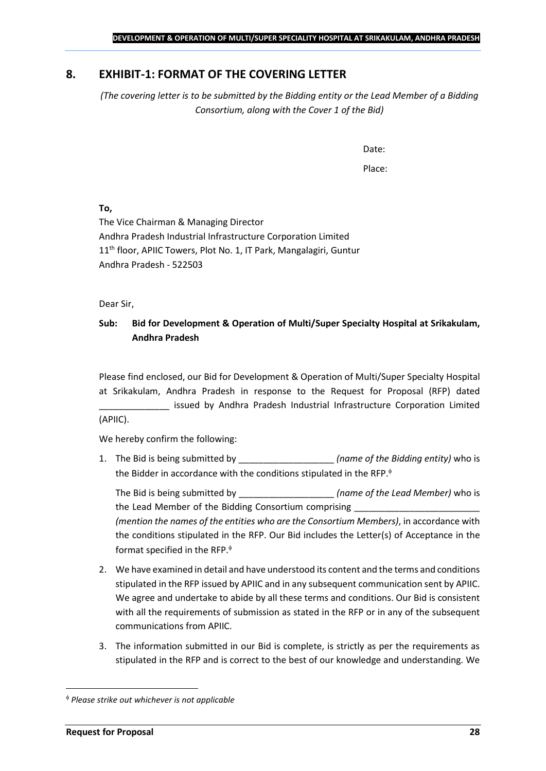## <span id="page-27-0"></span>**8. EXHIBIT-1: FORMAT OF THE COVERING LETTER**

*(The covering letter is to be submitted by the Bidding entity or the Lead Member of a Bidding Consortium, along with the Cover 1 of the Bid)*

Date:

Place:

**To,**

The Vice Chairman & Managing Director Andhra Pradesh Industrial Infrastructure Corporation Limited 11<sup>th</sup> floor, APIIC Towers, Plot No. 1, IT Park, Mangalagiri, Guntur Andhra Pradesh - 522503

Dear Sir,

## **Sub: Bid for Development & Operation of Multi/Super Specialty Hospital at Srikakulam, Andhra Pradesh**

Please find enclosed, our Bid for Development & Operation of Multi/Super Specialty Hospital at Srikakulam, Andhra Pradesh in response to the Request for Proposal (RFP) dated issued by Andhra Pradesh Industrial Infrastructure Corporation Limited (APIIC).

We hereby confirm the following:

1. The Bid is being submitted by **the intervalle in the Sidding entity**) who is the Bidder in accordance with the conditions stipulated in the RFP.

The Bid is being submitted by **the inclusive in the Solution Contract Contract Contract Contract Contract Contract Contract Contract Contract Contract Contract Contract Contract Contract Contract Contract Contract Contract** the Lead Member of the Bidding Consortium comprising *(mention the names of the entities who are the Consortium Members)*, in accordance with the conditions stipulated in the RFP. Our Bid includes the Letter(s) of Acceptance in the format specified in the RFP.

- 2. We have examined in detail and have understood its content and the terms and conditions stipulated in the RFP issued by APIIC and in any subsequent communication sent by APIIC. We agree and undertake to abide by all these terms and conditions. Our Bid is consistent with all the requirements of submission as stated in the RFP or in any of the subsequent communications from APIIC.
- 3. The information submitted in our Bid is complete, is strictly as per the requirements as stipulated in the RFP and is correct to the best of our knowledge and understanding. We

*Please strike out whichever is not applicable*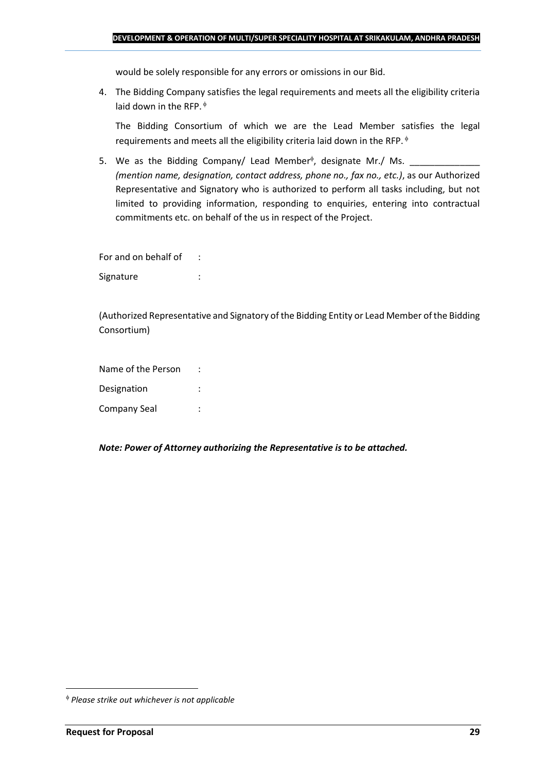would be solely responsible for any errors or omissions in our Bid.

4. The Bidding Company satisfies the legal requirements and meets all the eligibility criteria laid down in the RFP.  $\phi$ 

The Bidding Consortium of which we are the Lead Member satisfies the legal requirements and meets all the eligibility criteria laid down in the RFP.

5. We as the Bidding Company/ Lead Member<sup> $\phi$ </sup>, designate Mr./ Ms.  $\frac{1}{\sqrt{1-\frac{1}{2}}\sqrt{1-\frac{1}{2}}\sqrt{1-\frac{1}{2}}\sqrt{1-\frac{1}{2}}\sqrt{1-\frac{1}{2}}\sqrt{1-\frac{1}{2}}\sqrt{1-\frac{1}{2}}\sqrt{1-\frac{1}{2}}\sqrt{1-\frac{1}{2}}\sqrt{1-\frac{1}{2}}\sqrt{1-\frac{1}{2}}\sqrt{1-\frac{1}{2}}\sqrt{1-\frac{1}{2}}\sqrt{1$ *(mention name, designation, contact address, phone no., fax no., etc.)*, as our Authorized Representative and Signatory who is authorized to perform all tasks including, but not limited to providing information, responding to enquiries, entering into contractual commitments etc. on behalf of the us in respect of the Project.

For and on behalf of : Signature : the state of the state of the state of the state of the state of the state of the state of the state of the state of the state of the state of the state of the state of the state of the state of the state of th

(Authorized Representative and Signatory of the Bidding Entity or Lead Member of the Bidding Consortium)

Name of the Person : Designation : Company Seal :

*Note: Power of Attorney authorizing the Representative is to be attached.*

*Please strike out whichever is not applicable*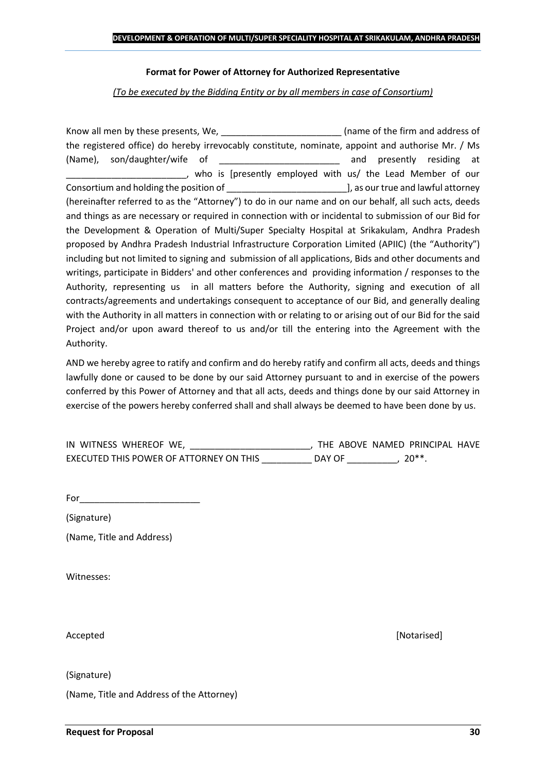#### **Format for Power of Attorney for Authorized Representative**

*(To be executed by the Bidding Entity or by all members in case of Consortium)*

Know all men by these presents, We, the state of the firm and address of the registered office) do hereby irrevocably constitute, nominate, appoint and authorise Mr. / Ms (Name), son/daughter/wife of \_\_\_\_\_\_\_\_\_\_\_\_\_\_\_\_\_\_\_\_\_\_\_\_ and presently residing at who is [presently employed with us/ the Lead Member of our Consortium and holding the position of  $\Box$  . The position of  $\Box$  as our true and lawful attorney (hereinafter referred to as the "Attorney") to do in our name and on our behalf, all such acts, deeds and things as are necessary or required in connection with or incidental to submission of our Bid for the Development & Operation of Multi/Super Specialty Hospital at Srikakulam, Andhra Pradesh proposed by Andhra Pradesh Industrial Infrastructure Corporation Limited (APIIC) (the "Authority") including but not limited to signing and submission of all applications, Bids and other documents and writings, participate in Bidders' and other conferences and providing information / responses to the Authority, representing us in all matters before the Authority, signing and execution of all contracts/agreements and undertakings consequent to acceptance of our Bid, and generally dealing with the Authority in all matters in connection with or relating to or arising out of our Bid for the said Project and/or upon award thereof to us and/or till the entering into the Agreement with the Authority.

AND we hereby agree to ratify and confirm and do hereby ratify and confirm all acts, deeds and things lawfully done or caused to be done by our said Attorney pursuant to and in exercise of the powers conferred by this Power of Attorney and that all acts, deeds and things done by our said Attorney in exercise of the powers hereby conferred shall and shall always be deemed to have been done by us.

| IN WITNESS WHEREOF WE,                  |        | THE ABOVE NAMED PRINCIPAL HAVE |  |
|-----------------------------------------|--------|--------------------------------|--|
| EXECUTED THIS POWER OF ATTORNEY ON THIS | DAY OF | $20**$                         |  |

For  $\Box$ 

(Signature)

(Name, Title and Address)

Witnesses:

Accepted [Notarised]

(Signature)

(Name, Title and Address of the Attorney)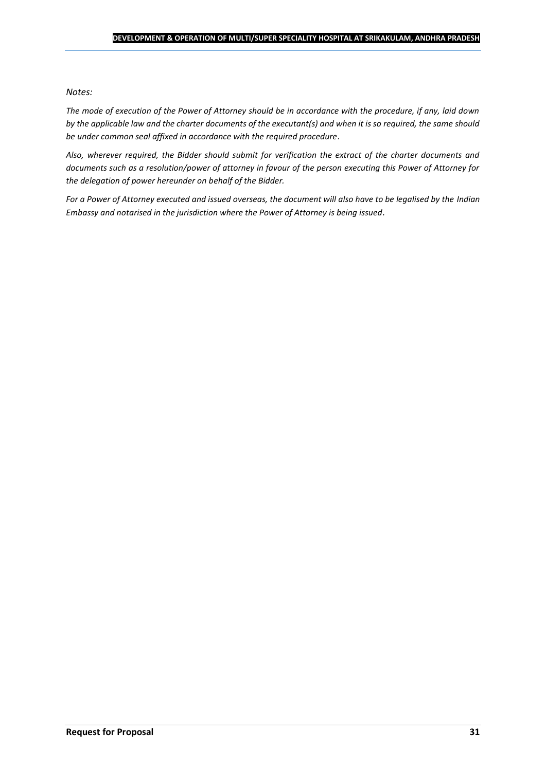#### *Notes:*

*The mode of execution of the Power of Attorney should be in accordance with the procedure, if any, laid down by the applicable law and the charter documents of the executant(s) and when it is so required, the same should be under common seal affixed in accordance with the required procedure*.

*Also, wherever required, the Bidder should submit for verification the extract of the charter documents and documents such as a resolution/power of attorney in favour of the person executing this Power of Attorney for the delegation of power hereunder on behalf of the Bidder.* 

For a Power of Attorney executed and issued overseas, the document will also have to be legalised by the *Indian Embassy and notarised in the jurisdiction where the Power of Attorney is being issued.*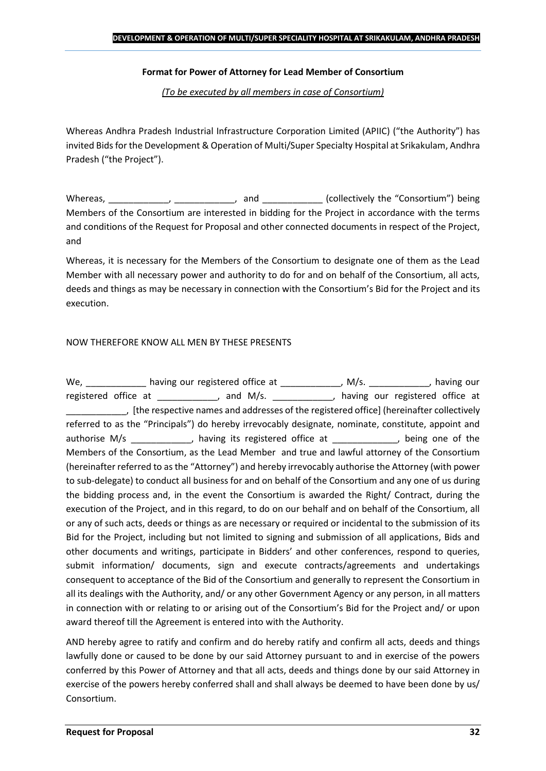## **Format for Power of Attorney for Lead Member of Consortium**

*(To be executed by all members in case of Consortium)*

Whereas Andhra Pradesh Industrial Infrastructure Corporation Limited (APIIC) ("the Authority") has invited Bids for the Development & Operation of Multi/Super Specialty Hospital at Srikakulam, Andhra Pradesh ("the Project").

Whereas, \_\_\_\_\_\_\_\_\_\_\_\_, \_\_\_\_\_\_\_\_\_\_\_, and \_\_\_\_\_\_\_\_\_\_\_\_ (collectively the "Consortium") being Members of the Consortium are interested in bidding for the Project in accordance with the terms and conditions of the Request for Proposal and other connected documents in respect of the Project, and

Whereas, it is necessary for the Members of the Consortium to designate one of them as the Lead Member with all necessary power and authority to do for and on behalf of the Consortium, all acts, deeds and things as may be necessary in connection with the Consortium's Bid for the Project and its execution.

## NOW THEREFORE KNOW ALL MEN BY THESE PRESENTS

We, \_\_\_\_\_\_\_\_\_\_\_\_\_ having our registered office at \_\_\_\_\_\_\_\_\_\_\_\_\_, M/s. \_\_\_\_\_\_\_\_\_\_\_, having our registered office at \_\_\_\_\_\_\_\_\_\_, and M/s. \_\_\_\_\_\_\_\_\_\_, having our registered office at \_\_\_\_\_\_\_\_\_\_\_\_, [the respective names and addresses of the registered office] (hereinafter collectively referred to as the "Principals") do hereby irrevocably designate, nominate, constitute, appoint and authorise M/s \_\_\_\_\_\_\_\_\_\_\_, having its registered office at  $\qquad \qquad$ , being one of the Members of the Consortium, as the Lead Member and true and lawful attorney of the Consortium (hereinafter referred to as the "Attorney") and hereby irrevocably authorise the Attorney (with power to sub-delegate) to conduct all business for and on behalf of the Consortium and any one of us during the bidding process and, in the event the Consortium is awarded the Right/ Contract, during the execution of the Project, and in this regard, to do on our behalf and on behalf of the Consortium, all or any of such acts, deeds or things as are necessary or required or incidental to the submission of its Bid for the Project, including but not limited to signing and submission of all applications, Bids and other documents and writings, participate in Bidders' and other conferences, respond to queries, submit information/ documents, sign and execute contracts/agreements and undertakings consequent to acceptance of the Bid of the Consortium and generally to represent the Consortium in all its dealings with the Authority, and/ or any other Government Agency or any person, in all matters in connection with or relating to or arising out of the Consortium's Bid for the Project and/ or upon award thereof till the Agreement is entered into with the Authority.

AND hereby agree to ratify and confirm and do hereby ratify and confirm all acts, deeds and things lawfully done or caused to be done by our said Attorney pursuant to and in exercise of the powers conferred by this Power of Attorney and that all acts, deeds and things done by our said Attorney in exercise of the powers hereby conferred shall and shall always be deemed to have been done by us/ Consortium.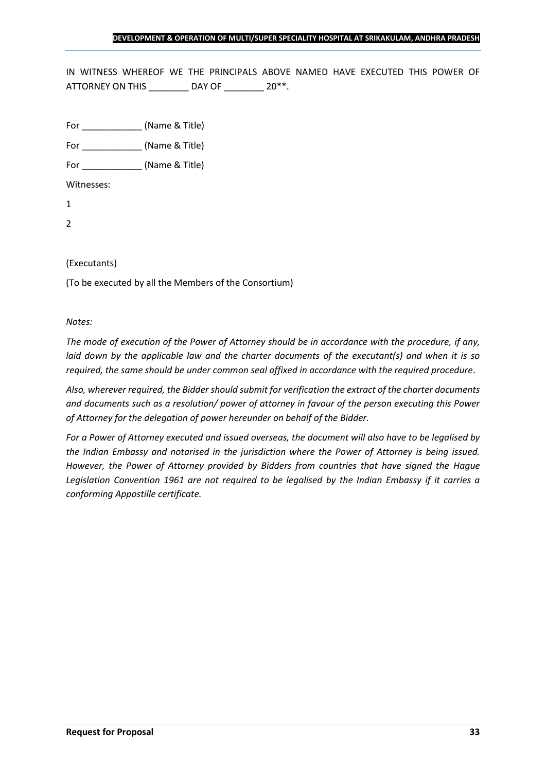IN WITNESS WHEREOF WE THE PRINCIPALS ABOVE NAMED HAVE EXECUTED THIS POWER OF ATTORNEY ON THIS \_\_\_\_\_\_\_\_ DAY OF \_\_\_\_\_\_\_ 20\*\*.

For \_\_\_\_\_\_\_\_\_\_\_\_ (Name & Title)

For  $(Name & Title)$ 

Witnesses:

1

2

## (Executants)

(To be executed by all the Members of the Consortium)

#### *Notes:*

*The mode of execution of the Power of Attorney should be in accordance with the procedure, if any, laid down by the applicable law and the charter documents of the executant(s) and when it is so required, the same should be under common seal affixed in accordance with the required procedure*.

*Also, wherever required, the Bidder should submit for verification the extract of the charter documents and documents such as a resolution/ power of attorney in favour of the person executing this Power of Attorney for the delegation of power hereunder on behalf of the Bidder.* 

*For a Power of Attorney executed and issued overseas, the document will also have to be legalised by the Indian Embassy and notarised in the jurisdiction where the Power of Attorney is being issued. However, the Power of Attorney provided by Bidders from countries that have signed the Hague Legislation Convention 1961 are not required to be legalised by the Indian Embassy if it carries a conforming Appostille certificate.*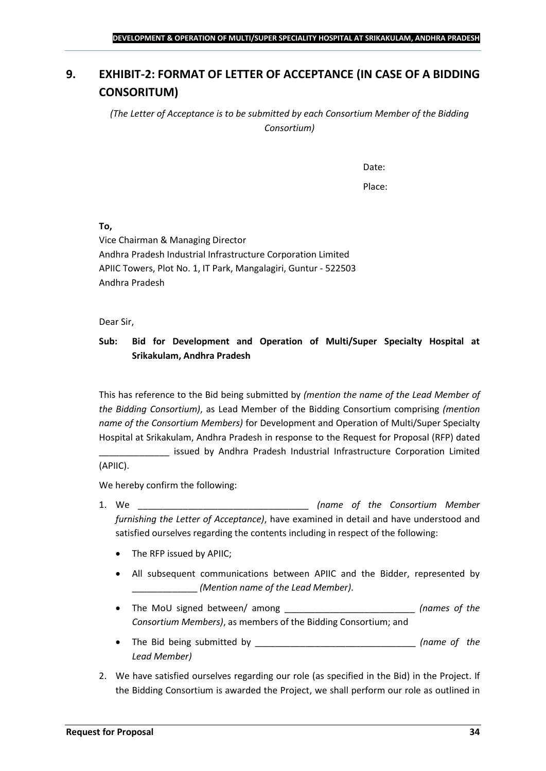## <span id="page-33-0"></span>**9. EXHIBIT-2: FORMAT OF LETTER OF ACCEPTANCE (IN CASE OF A BIDDING CONSORITUM)**

*(The Letter of Acceptance is to be submitted by each Consortium Member of the Bidding Consortium)*

Date:

Place:

**To,**

Vice Chairman & Managing Director Andhra Pradesh Industrial Infrastructure Corporation Limited APIIC Towers, Plot No. 1, IT Park, Mangalagiri, Guntur - 522503 Andhra Pradesh

Dear Sir,

## **Sub: Bid for Development and Operation of Multi/Super Specialty Hospital at Srikakulam, Andhra Pradesh**

This has reference to the Bid being submitted by *(mention the name of the Lead Member of the Bidding Consortium)*, as Lead Member of the Bidding Consortium comprising *(mention name of the Consortium Members)* for Development and Operation of Multi/Super Specialty Hospital at Srikakulam, Andhra Pradesh in response to the Request for Proposal (RFP) dated

issued by Andhra Pradesh Industrial Infrastructure Corporation Limited (APIIC).

We hereby confirm the following:

- 1. We \_\_\_\_\_\_\_\_\_\_\_\_\_\_\_\_\_\_\_\_\_\_\_\_\_\_\_\_\_\_\_\_\_\_ *(name of the Consortium Member furnishing the Letter of Acceptance)*, have examined in detail and have understood and satisfied ourselves regarding the contents including in respect of the following:
	- The RFP issued by APIIC;
	- All subsequent communications between APIIC and the Bidder, represented by \_\_\_\_\_\_\_\_\_\_\_\_\_ *(Mention name of the Lead Member)*.
	- The MoU signed between/ among \_\_\_\_\_\_\_\_\_\_\_\_\_\_\_\_\_\_\_\_\_\_\_\_\_\_ *(names of the Consortium Members)*, as members of the Bidding Consortium; and
	- The Bid being submitted by \_\_\_\_\_\_\_\_\_\_\_\_\_\_\_\_\_\_\_\_\_\_\_\_\_\_\_\_\_\_\_\_ *(name of the Lead Member)*
- 2. We have satisfied ourselves regarding our role (as specified in the Bid) in the Project. If the Bidding Consortium is awarded the Project, we shall perform our role as outlined in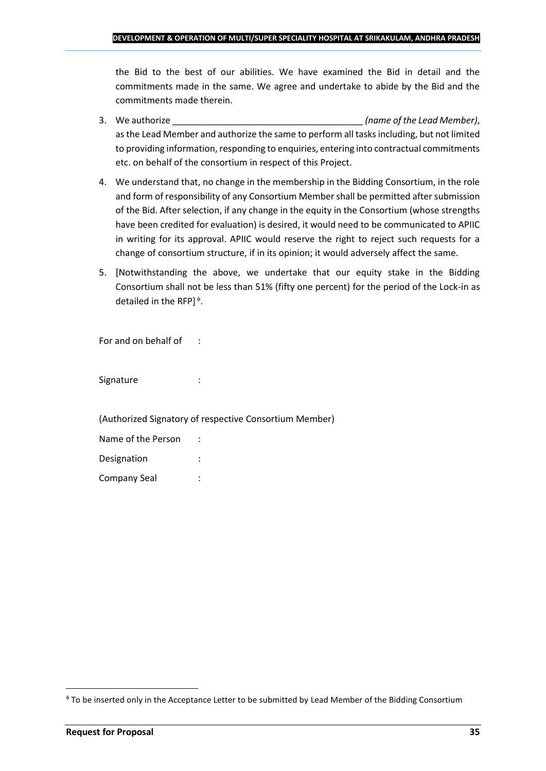the Bid to the best of our abilities. We have examined the Bid in detail and the commitments made in the same. We agree and undertake to abide by the Bid and the commitments made therein.

- 3. We authorize \_\_\_\_\_\_\_\_\_\_\_\_\_\_\_\_\_\_\_\_\_\_\_\_\_\_\_\_\_\_\_\_\_\_\_\_\_\_ *(name of the Lead Member)*, as the Lead Member and authorize the same to perform all tasks including, but not limited to providing information, responding to enquiries, entering into contractual commitments etc. on behalf of the consortium in respect of this Project.
- 4. We understand that, no change in the membership in the Bidding Consortium, in the role and form of responsibility of any Consortium Member shall be permitted after submission of the Bid. After selection, if any change in the equity in the Consortium (whose strengths have been credited for evaluation) is desired, it would need to be communicated to APIIC in writing for its approval. APIIC would reserve the right to reject such requests for a change of consortium structure, if in its opinion; it would adversely affect the same.
- 5. [Notwithstanding the above, we undertake that our equity stake in the Bidding Consortium shall not be less than 51% (fifty one percent) for the period of the Lock-in as detailed in the RFP] $\triangleq$ .

For and on behalf of :

Signature : :

(Authorized Signatory of respective Consortium Member)

| Name of the Person |  |
|--------------------|--|
| Designation        |  |
| Company Seal       |  |

To be inserted only in the Acceptance Letter to be submitted by Lead Member of the Bidding Consortium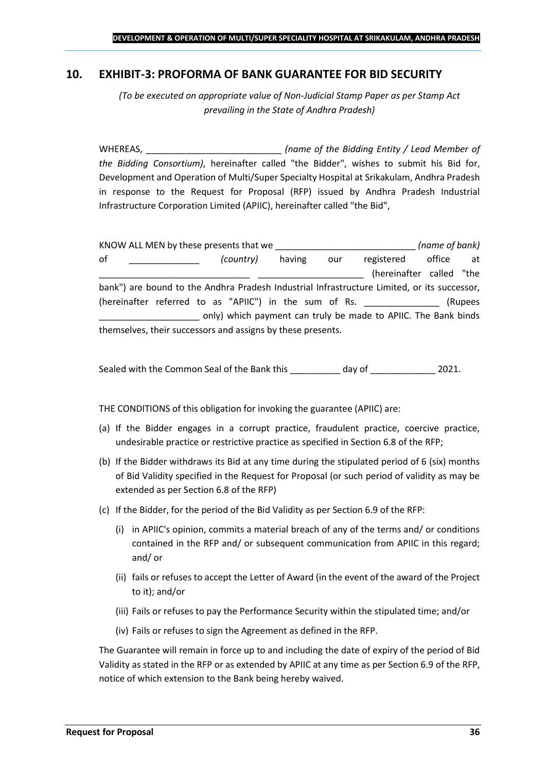## <span id="page-35-0"></span>**10. EXHIBIT-3: PROFORMA OF BANK GUARANTEE FOR BID SECURITY**

*(To be executed on appropriate value of Non-Judicial Stamp Paper as per Stamp Act prevailing in the State of Andhra Pradesh)*

WHEREAS, \_\_\_\_\_\_\_\_\_\_\_\_\_\_\_\_\_\_\_\_\_\_\_\_\_\_\_ *(name of the Bidding Entity / Lead Member of the Bidding Consortium)*, hereinafter called "the Bidder", wishes to submit his Bid for, Development and Operation of Multi/Super Specialty Hospital at Srikakulam, Andhra Pradesh in response to the Request for Proposal (RFP) issued by Andhra Pradesh Industrial Infrastructure Corporation Limited (APIIC), hereinafter called "the Bid",

| KNOW ALL MEN by these presents that we                                                      |           |        |     |                                                                | (name of bank) |         |
|---------------------------------------------------------------------------------------------|-----------|--------|-----|----------------------------------------------------------------|----------------|---------|
| 0f                                                                                          | (country) | having | our | registered                                                     | office         | at      |
|                                                                                             |           |        |     | (hereinafter called "the                                       |                |         |
| bank") are bound to the Andhra Pradesh Industrial Infrastructure Limited, or its successor, |           |        |     |                                                                |                |         |
| (hereinafter referred to as "APIIC") in the sum of Rs.                                      |           |        |     |                                                                |                | (Rupees |
|                                                                                             |           |        |     | only) which payment can truly be made to APIIC. The Bank binds |                |         |
| themselves, their successors and assigns by these presents.                                 |           |        |     |                                                                |                |         |

Sealed with the Common Seal of the Bank this day of  $\qquad \qquad$  2021.

THE CONDITIONS of this obligation for invoking the guarantee (APIIC) are:

- (a) If the Bidder engages in a corrupt practice, fraudulent practice, coercive practice, undesirable practice or restrictive practice as specified in Section 6.8 of the RFP;
- (b) If the Bidder withdraws its Bid at any time during the stipulated period of 6 (six) months of Bid Validity specified in the Request for Proposal (or such period of validity as may be extended as per Section 6.8 of the RFP)
- (c) If the Bidder, for the period of the Bid Validity as per Section 6.9 of the RFP:
	- (i) in APIIC's opinion, commits a material breach of any of the terms and/ or conditions contained in the RFP and/ or subsequent communication from APIIC in this regard; and/ or
	- (ii) fails or refuses to accept the Letter of Award (in the event of the award of the Project to it); and/or
	- (iii) Fails or refuses to pay the Performance Security within the stipulated time; and/or
	- (iv) Fails or refuses to sign the Agreement as defined in the RFP.

The Guarantee will remain in force up to and including the date of expiry of the period of Bid Validity as stated in the RFP or as extended by APIIC at any time as per Section 6.9 of the RFP, notice of which extension to the Bank being hereby waived.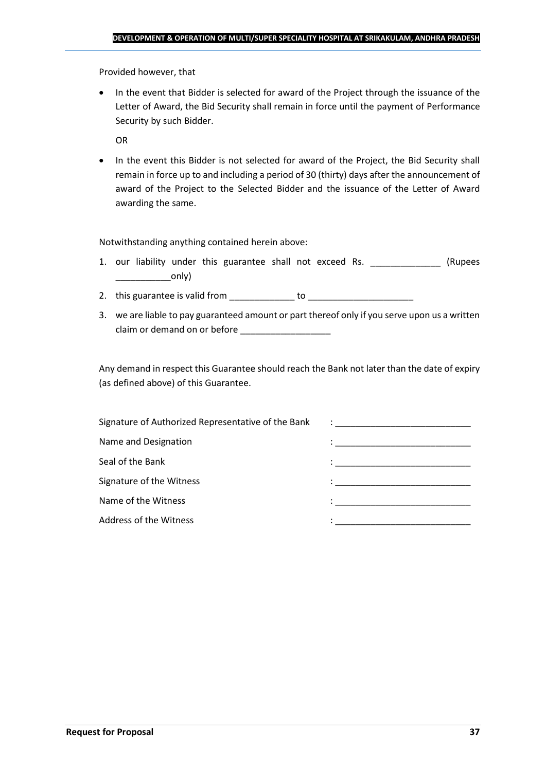Provided however, that

• In the event that Bidder is selected for award of the Project through the issuance of the Letter of Award, the Bid Security shall remain in force until the payment of Performance Security by such Bidder.

OR

• In the event this Bidder is not selected for award of the Project, the Bid Security shall remain in force up to and including a period of 30 (thirty) days after the announcement of award of the Project to the Selected Bidder and the issuance of the Letter of Award awarding the same.

Notwithstanding anything contained herein above:

- 1. our liability under this guarantee shall not exceed Rs. \_\_\_\_\_\_\_\_\_\_\_\_\_\_\_ (Rupees  $\begin{array}{c} \begin{array}{c} \begin{array}{c} \end{array} \end{array}$
- 2. this guarantee is valid from to be to to to the state of the state of the state of the state of the state o
- 3. we are liable to pay guaranteed amount or part thereof only if you serve upon us a written claim or demand on or before

Any demand in respect this Guarantee should reach the Bank not later than the date of expiry (as defined above) of this Guarantee.

| Signature of Authorized Representative of the Bank | $\mathcal{L}=\frac{1}{\sqrt{2\pi}}\left\{ \frac{1}{\sqrt{2\pi}}\right\}$                                                              |
|----------------------------------------------------|---------------------------------------------------------------------------------------------------------------------------------------|
| Name and Designation                               | the contract of the contract of the contract of the contract of the contract of the contract of                                       |
| Seal of the Bank                                   | the control of the control of the control of the control of the control of                                                            |
| Signature of the Witness                           |                                                                                                                                       |
| Name of the Witness                                | en de la componentación de la componentación de la componentación de la componentación de la componentación de<br>A la componentación |
| Address of the Witness                             |                                                                                                                                       |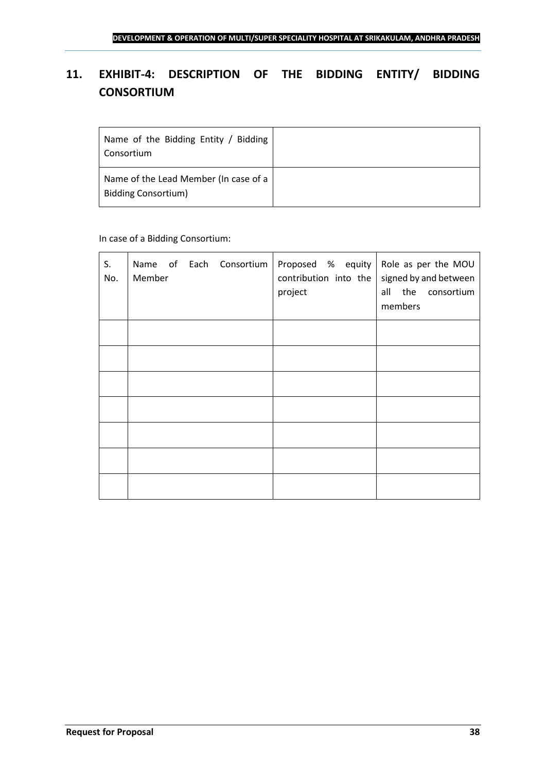## <span id="page-37-0"></span>**11. EXHIBIT-4: DESCRIPTION OF THE BIDDING ENTITY/ BIDDING CONSORTIUM**

| Name of the Bidding Entity / Bidding<br>Consortium                  |  |
|---------------------------------------------------------------------|--|
| Name of the Lead Member (In case of a<br><b>Bidding Consortium)</b> |  |

## In case of a Bidding Consortium:

| S.<br>No. | Name of Each Consortium   Proposed % equity   Role as per the MOU<br>Member | contribution into the<br>project | signed by and between<br>all the consortium<br>members |
|-----------|-----------------------------------------------------------------------------|----------------------------------|--------------------------------------------------------|
|           |                                                                             |                                  |                                                        |
|           |                                                                             |                                  |                                                        |
|           |                                                                             |                                  |                                                        |
|           |                                                                             |                                  |                                                        |
|           |                                                                             |                                  |                                                        |
|           |                                                                             |                                  |                                                        |
|           |                                                                             |                                  |                                                        |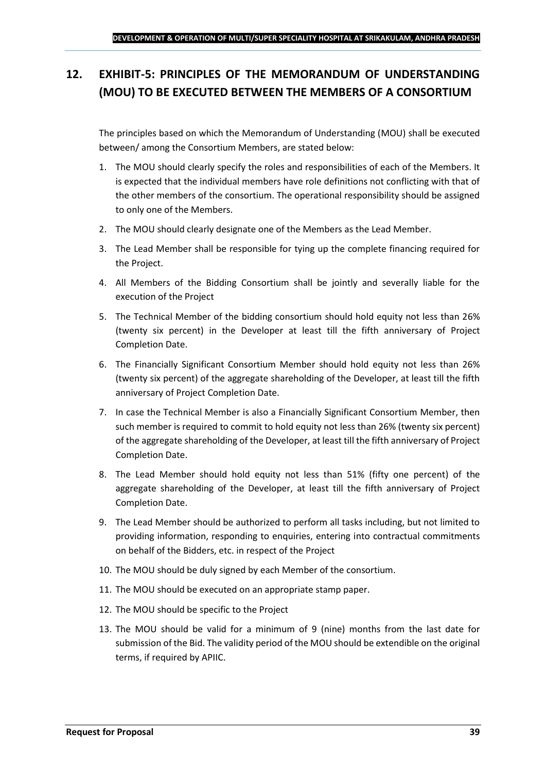## <span id="page-38-0"></span>**12. EXHIBIT-5: PRINCIPLES OF THE MEMORANDUM OF UNDERSTANDING (MOU) TO BE EXECUTED BETWEEN THE MEMBERS OF A CONSORTIUM**

The principles based on which the Memorandum of Understanding (MOU) shall be executed between/ among the Consortium Members, are stated below:

- 1. The MOU should clearly specify the roles and responsibilities of each of the Members. It is expected that the individual members have role definitions not conflicting with that of the other members of the consortium. The operational responsibility should be assigned to only one of the Members.
- 2. The MOU should clearly designate one of the Members as the Lead Member.
- 3. The Lead Member shall be responsible for tying up the complete financing required for the Project.
- 4. All Members of the Bidding Consortium shall be jointly and severally liable for the execution of the Project
- 5. The Technical Member of the bidding consortium should hold equity not less than 26% (twenty six percent) in the Developer at least till the fifth anniversary of Project Completion Date.
- 6. The Financially Significant Consortium Member should hold equity not less than 26% (twenty six percent) of the aggregate shareholding of the Developer, at least till the fifth anniversary of Project Completion Date.
- 7. In case the Technical Member is also a Financially Significant Consortium Member, then such member is required to commit to hold equity not less than 26% (twenty six percent) of the aggregate shareholding of the Developer, at least till the fifth anniversary of Project Completion Date.
- 8. The Lead Member should hold equity not less than 51% (fifty one percent) of the aggregate shareholding of the Developer, at least till the fifth anniversary of Project Completion Date.
- 9. The Lead Member should be authorized to perform all tasks including, but not limited to providing information, responding to enquiries, entering into contractual commitments on behalf of the Bidders, etc. in respect of the Project
- 10. The MOU should be duly signed by each Member of the consortium.
- 11. The MOU should be executed on an appropriate stamp paper.
- 12. The MOU should be specific to the Project
- 13. The MOU should be valid for a minimum of 9 (nine) months from the last date for submission of the Bid. The validity period of the MOU should be extendible on the original terms, if required by APIIC.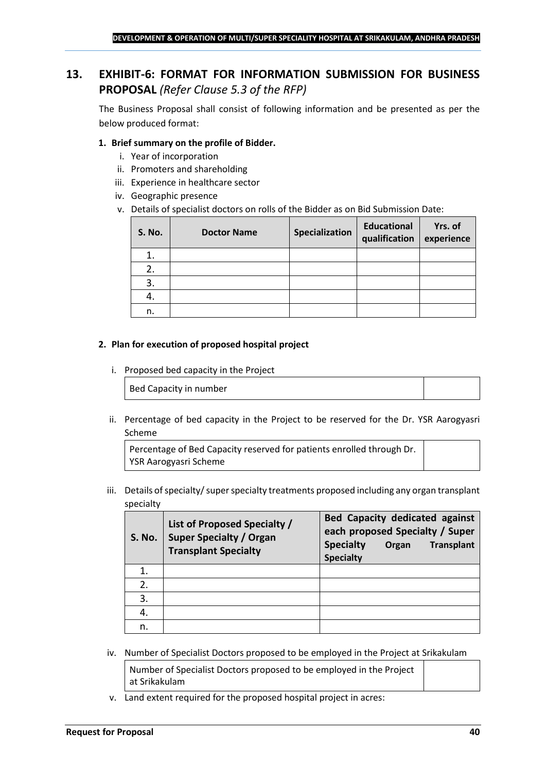## <span id="page-39-0"></span>**13. EXHIBIT-6: FORMAT FOR INFORMATION SUBMISSION FOR BUSINESS PROPOSAL** *(Refer Clause 5.3 of the RFP)*

The Business Proposal shall consist of following information and be presented as per the below produced format:

## **1. Brief summary on the profile of Bidder.**

- i. Year of incorporation
- ii. Promoters and shareholding
- iii. Experience in healthcare sector
- iv. Geographic presence
- v. Details of specialist doctors on rolls of the Bidder as on Bid Submission Date:

| <b>S. No.</b> | <b>Doctor Name</b> | Specialization | <b>Educational</b><br>qualification | Yrs. of<br>experience |
|---------------|--------------------|----------------|-------------------------------------|-----------------------|
|               |                    |                |                                     |                       |
| 2.            |                    |                |                                     |                       |
| 3.            |                    |                |                                     |                       |
| 4.            |                    |                |                                     |                       |
| n.            |                    |                |                                     |                       |

#### **2. Plan for execution of proposed hospital project**

i. Proposed bed capacity in the Project

Bed Capacity in number

ii. Percentage of bed capacity in the Project to be reserved for the Dr. YSR Aarogyasri Scheme

Percentage of Bed Capacity reserved for patients enrolled through Dr. YSR Aarogyasri Scheme

iii. Details of specialty/ super specialty treatments proposed including any organ transplant specialty

| <b>S. No.</b> | List of Proposed Specialty /<br><b>Super Specialty / Organ</b><br><b>Transplant Specialty</b> | <b>Bed Capacity dedicated against</b><br>each proposed Specialty / Super<br><b>Specialty</b><br><b>Transplant</b><br>Organ<br><b>Specialty</b> |
|---------------|-----------------------------------------------------------------------------------------------|------------------------------------------------------------------------------------------------------------------------------------------------|
|               |                                                                                               |                                                                                                                                                |
| 2.            |                                                                                               |                                                                                                                                                |
| 3.            |                                                                                               |                                                                                                                                                |
|               |                                                                                               |                                                                                                                                                |
| n.            |                                                                                               |                                                                                                                                                |

iv. Number of Specialist Doctors proposed to be employed in the Project at Srikakulam

Number of Specialist Doctors proposed to be employed in the Project at Srikakulam

v. Land extent required for the proposed hospital project in acres: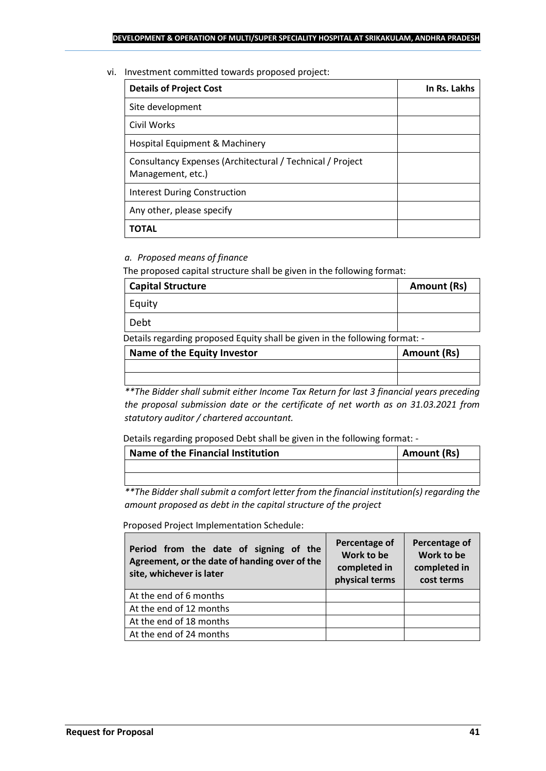#### vi. Investment committed towards proposed project:

| <b>Details of Project Cost</b>                                                 | In Rs. Lakhs |
|--------------------------------------------------------------------------------|--------------|
| Site development                                                               |              |
| Civil Works                                                                    |              |
| Hospital Equipment & Machinery                                                 |              |
| Consultancy Expenses (Architectural / Technical / Project<br>Management, etc.) |              |
| <b>Interest During Construction</b>                                            |              |
| Any other, please specify                                                      |              |
| TOTAL                                                                          |              |

## *a. Proposed means of finance*

The proposed capital structure shall be given in the following format:

| <b>Capital Structure</b> | <b>Amount (Rs)</b> |
|--------------------------|--------------------|
| Equity                   |                    |
| Debt                     |                    |
|                          |                    |

Details regarding proposed Equity shall be given in the following format: -

| Name of the Equity Investor | Amount (Rs) |
|-----------------------------|-------------|
|                             |             |
|                             |             |

*\*\*The Bidder shall submit either Income Tax Return for last 3 financial years preceding the proposal submission date or the certificate of net worth as on 31.03.2021 from statutory auditor / chartered accountant.*

Details regarding proposed Debt shall be given in the following format: -

| Name of the Financial Institution | Amount (Rs) |
|-----------------------------------|-------------|
|                                   |             |
|                                   |             |

*\*\*The Bidder shall submit a comfort letter from the financial institution(s) regarding the amount proposed as debt in the capital structure of the project*

Proposed Project Implementation Schedule:

| Period from the date of signing of the<br>Agreement, or the date of handing over of the<br>site, whichever is later | Percentage of<br>Work to be<br>completed in<br>physical terms | Percentage of<br>Work to be<br>completed in<br>cost terms |
|---------------------------------------------------------------------------------------------------------------------|---------------------------------------------------------------|-----------------------------------------------------------|
| At the end of 6 months                                                                                              |                                                               |                                                           |
| At the end of 12 months                                                                                             |                                                               |                                                           |
| At the end of 18 months                                                                                             |                                                               |                                                           |
| At the end of 24 months                                                                                             |                                                               |                                                           |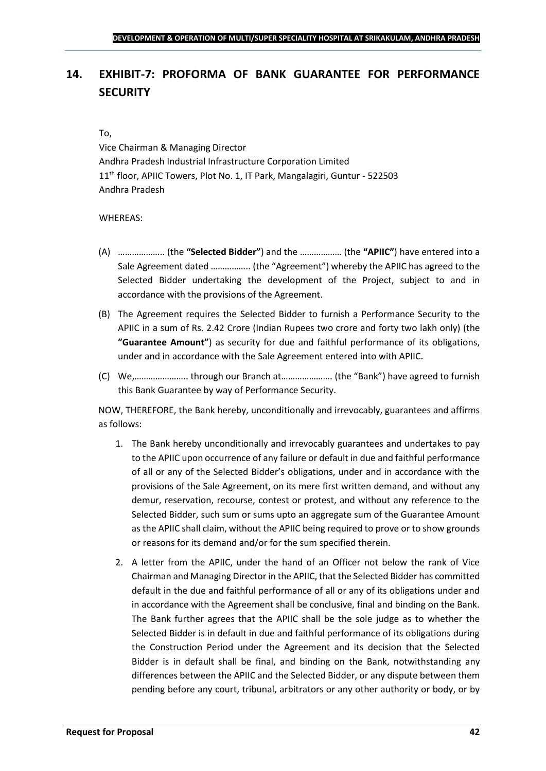## <span id="page-41-0"></span>**14. EXHIBIT-7: PROFORMA OF BANK GUARANTEE FOR PERFORMANCE SECURITY**

### To,

Vice Chairman & Managing Director Andhra Pradesh Industrial Infrastructure Corporation Limited 11<sup>th</sup> floor, APIIC Towers, Plot No. 1, IT Park, Mangalagiri, Guntur - 522503 Andhra Pradesh

## WHEREAS:

- (A) ……………….. (the **"Selected Bidder"**) and the ……………… (the **"APIIC"**) have entered into a Sale Agreement dated …………….. (the "Agreement") whereby the APIIC has agreed to the Selected Bidder undertaking the development of the Project, subject to and in accordance with the provisions of the Agreement.
- (B) The Agreement requires the Selected Bidder to furnish a Performance Security to the APIIC in a sum of Rs. 2.42 Crore (Indian Rupees two crore and forty two lakh only) (the **"Guarantee Amount"**) as security for due and faithful performance of its obligations, under and in accordance with the Sale Agreement entered into with APIIC.
- (C) We,………………….. through our Branch at…………………. (the "Bank") have agreed to furnish this Bank Guarantee by way of Performance Security.

NOW, THEREFORE, the Bank hereby, unconditionally and irrevocably, guarantees and affirms as follows:

- 1. The Bank hereby unconditionally and irrevocably guarantees and undertakes to pay to the APIIC upon occurrence of any failure or default in due and faithful performance of all or any of the Selected Bidder's obligations, under and in accordance with the provisions of the Sale Agreement, on its mere first written demand, and without any demur, reservation, recourse, contest or protest, and without any reference to the Selected Bidder, such sum or sums upto an aggregate sum of the Guarantee Amount as the APIIC shall claim, without the APIIC being required to prove or to show grounds or reasons for its demand and/or for the sum specified therein.
- 2. A letter from the APIIC, under the hand of an Officer not below the rank of Vice Chairman and Managing Director in the APIIC, that the Selected Bidder has committed default in the due and faithful performance of all or any of its obligations under and in accordance with the Agreement shall be conclusive, final and binding on the Bank. The Bank further agrees that the APIIC shall be the sole judge as to whether the Selected Bidder is in default in due and faithful performance of its obligations during the Construction Period under the Agreement and its decision that the Selected Bidder is in default shall be final, and binding on the Bank, notwithstanding any differences between the APIIC and the Selected Bidder, or any dispute between them pending before any court, tribunal, arbitrators or any other authority or body, or by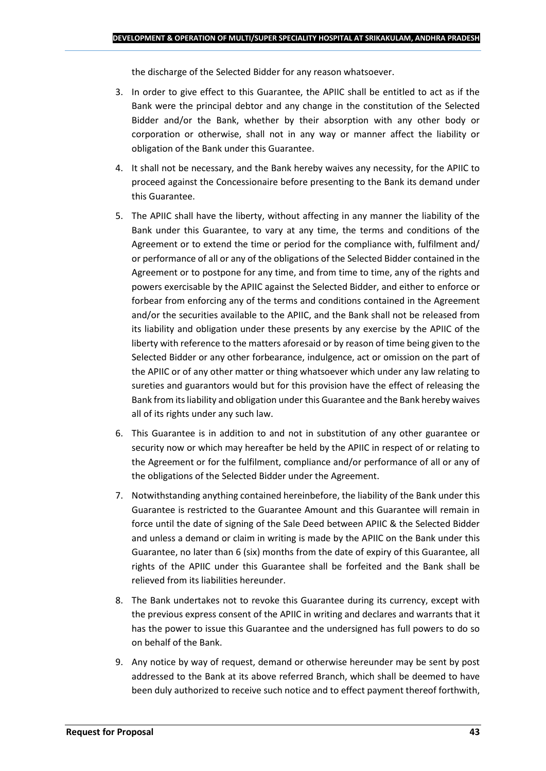the discharge of the Selected Bidder for any reason whatsoever.

- 3. In order to give effect to this Guarantee, the APIIC shall be entitled to act as if the Bank were the principal debtor and any change in the constitution of the Selected Bidder and/or the Bank, whether by their absorption with any other body or corporation or otherwise, shall not in any way or manner affect the liability or obligation of the Bank under this Guarantee.
- 4. It shall not be necessary, and the Bank hereby waives any necessity, for the APIIC to proceed against the Concessionaire before presenting to the Bank its demand under this Guarantee.
- 5. The APIIC shall have the liberty, without affecting in any manner the liability of the Bank under this Guarantee, to vary at any time, the terms and conditions of the Agreement or to extend the time or period for the compliance with, fulfilment and/ or performance of all or any of the obligations of the Selected Bidder contained in the Agreement or to postpone for any time, and from time to time, any of the rights and powers exercisable by the APIIC against the Selected Bidder, and either to enforce or forbear from enforcing any of the terms and conditions contained in the Agreement and/or the securities available to the APIIC, and the Bank shall not be released from its liability and obligation under these presents by any exercise by the APIIC of the liberty with reference to the matters aforesaid or by reason of time being given to the Selected Bidder or any other forbearance, indulgence, act or omission on the part of the APIIC or of any other matter or thing whatsoever which under any law relating to sureties and guarantors would but for this provision have the effect of releasing the Bank from its liability and obligation under this Guarantee and the Bank hereby waives all of its rights under any such law.
- 6. This Guarantee is in addition to and not in substitution of any other guarantee or security now or which may hereafter be held by the APIIC in respect of or relating to the Agreement or for the fulfilment, compliance and/or performance of all or any of the obligations of the Selected Bidder under the Agreement.
- 7. Notwithstanding anything contained hereinbefore, the liability of the Bank under this Guarantee is restricted to the Guarantee Amount and this Guarantee will remain in force until the date of signing of the Sale Deed between APIIC & the Selected Bidder and unless a demand or claim in writing is made by the APIIC on the Bank under this Guarantee, no later than 6 (six) months from the date of expiry of this Guarantee, all rights of the APIIC under this Guarantee shall be forfeited and the Bank shall be relieved from its liabilities hereunder.
- 8. The Bank undertakes not to revoke this Guarantee during its currency, except with the previous express consent of the APIIC in writing and declares and warrants that it has the power to issue this Guarantee and the undersigned has full powers to do so on behalf of the Bank.
- 9. Any notice by way of request, demand or otherwise hereunder may be sent by post addressed to the Bank at its above referred Branch, which shall be deemed to have been duly authorized to receive such notice and to effect payment thereof forthwith,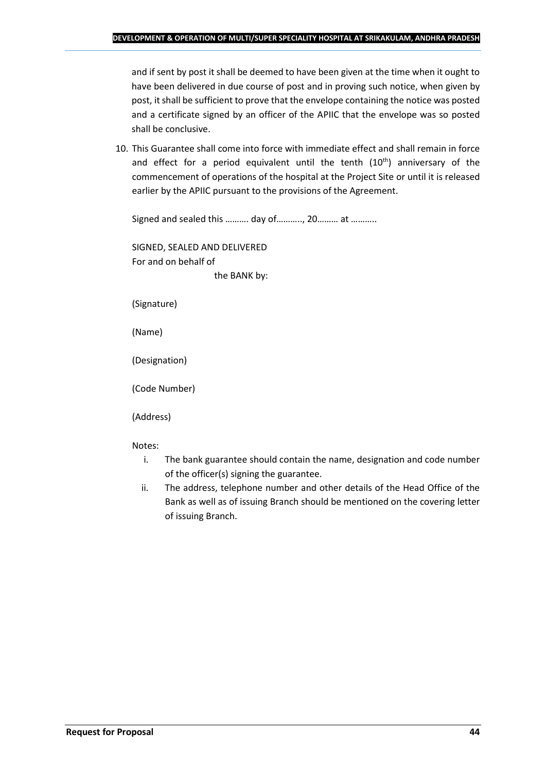and if sent by post it shall be deemed to have been given at the time when it ought to have been delivered in due course of post and in proving such notice, when given by post, it shall be sufficient to prove that the envelope containing the notice was posted and a certificate signed by an officer of the APIIC that the envelope was so posted shall be conclusive.

10. This Guarantee shall come into force with immediate effect and shall remain in force and effect for a period equivalent until the tenth  $(10<sup>th</sup>)$  anniversary of the commencement of operations of the hospital at the Project Site or until it is released earlier by the APIIC pursuant to the provisions of the Agreement.

Signed and sealed this .......... day of..........., 20......... at ...........

SIGNED, SEALED AND DELIVERED For and on behalf of the BANK by:

(Signature)

(Name)

(Designation)

(Code Number)

(Address)

Notes:

- i. The bank guarantee should contain the name, designation and code number of the officer(s) signing the guarantee.
- ii. The address, telephone number and other details of the Head Office of the Bank as well as of issuing Branch should be mentioned on the covering letter of issuing Branch.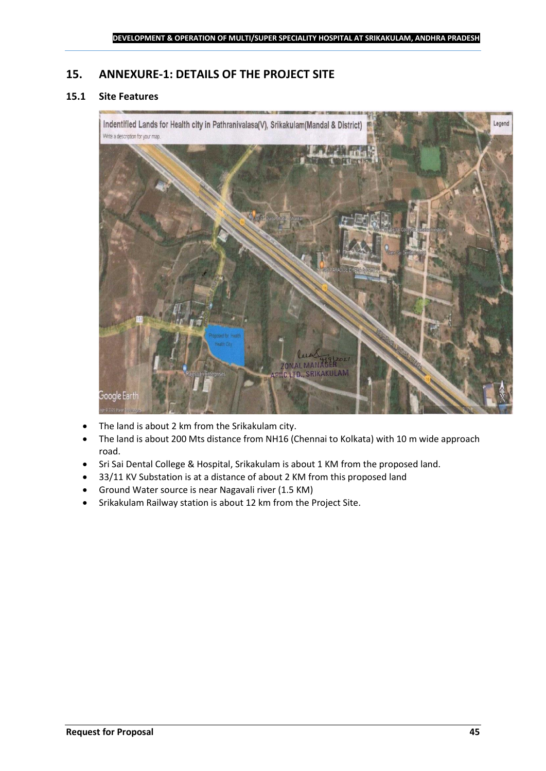## <span id="page-44-0"></span>**15. ANNEXURE-1: DETAILS OF THE PROJECT SITE**

## **15.1 Site Features**



- The land is about 2 km from the Srikakulam city.
- The land is about 200 Mts distance from NH16 (Chennai to Kolkata) with 10 m wide approach road.
- Sri Sai Dental College & Hospital, Srikakulam is about 1 KM from the proposed land.
- 33/11 KV Substation is at a distance of about 2 KM from this proposed land
- Ground Water source is near Nagavali river (1.5 KM)
- Srikakulam Railway station is about 12 km from the Project Site.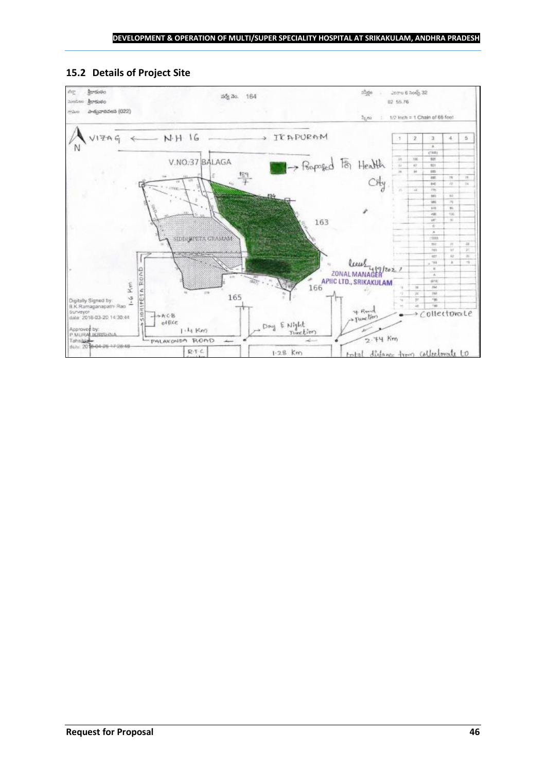## **15.2 Details of Project Site**

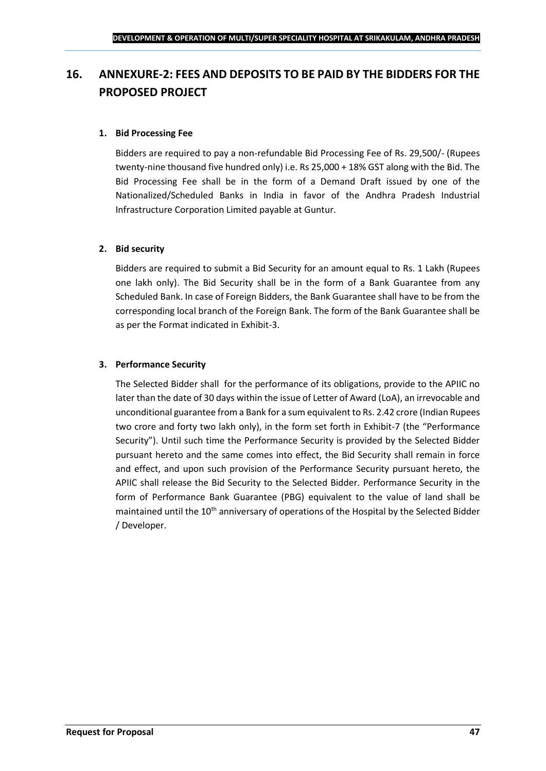## <span id="page-46-0"></span>**16. ANNEXURE-2: FEES AND DEPOSITS TO BE PAID BY THE BIDDERS FOR THE PROPOSED PROJECT**

## **1. Bid Processing Fee**

Bidders are required to pay a non-refundable Bid Processing Fee of Rs. 29,500/- (Rupees twenty-nine thousand five hundred only) i.e. Rs 25,000 + 18% GST along with the Bid. The Bid Processing Fee shall be in the form of a Demand Draft issued by one of the Nationalized/Scheduled Banks in India in favor of the Andhra Pradesh Industrial Infrastructure Corporation Limited payable at Guntur.

## **2. Bid security**

Bidders are required to submit a Bid Security for an amount equal to Rs. 1 Lakh (Rupees one lakh only). The Bid Security shall be in the form of a Bank Guarantee from any Scheduled Bank. In case of Foreign Bidders, the Bank Guarantee shall have to be from the corresponding local branch of the Foreign Bank. The form of the Bank Guarantee shall be as per the Format indicated in Exhibit-3.

## **3. Performance Security**

The Selected Bidder shall for the performance of its obligations, provide to the APIIC no later than the date of 30 days within the issue of Letter of Award (LoA), an irrevocable and unconditional guarantee from a Bank for a sum equivalent to Rs. 2.42 crore (Indian Rupees two crore and forty two lakh only), in the form set forth in Exhibit-7 (the "Performance Security"). Until such time the Performance Security is provided by the Selected Bidder pursuant hereto and the same comes into effect, the Bid Security shall remain in force and effect, and upon such provision of the Performance Security pursuant hereto, the APIIC shall release the Bid Security to the Selected Bidder. Performance Security in the form of Performance Bank Guarantee (PBG) equivalent to the value of land shall be maintained until the 10<sup>th</sup> anniversary of operations of the Hospital by the Selected Bidder / Developer.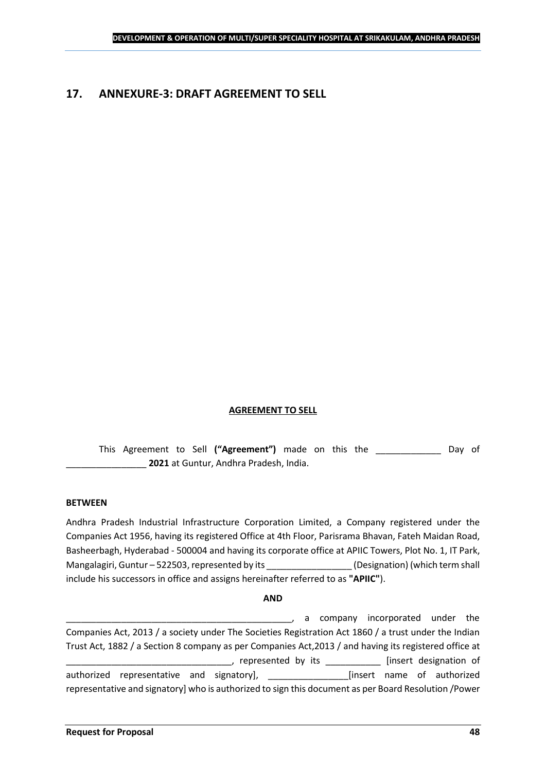## <span id="page-47-0"></span>**17. ANNEXURE-3: DRAFT AGREEMENT TO SELL**

## **AGREEMENT TO SELL**

This Agreement to Sell **("Agreement")** made on this the \_\_\_\_\_\_\_\_\_\_\_\_\_ Day of \_\_\_\_\_\_\_\_\_\_\_\_\_\_\_\_ **2021** at Guntur, Andhra Pradesh, India.

#### **BETWEEN**

Andhra Pradesh Industrial Infrastructure Corporation Limited, a Company registered under the Companies Act 1956, having its registered Office at 4th Floor, Parisrama Bhavan, Fateh Maidan Road, Basheerbagh, Hyderabad - 500004 and having its corporate office at APIIC Towers, Plot No. 1, IT Park, Mangalagiri, Guntur – 522503, represented by its \_\_\_\_\_\_\_\_\_\_\_\_\_\_\_\_\_\_\_\_\_\_\_\_\_\_\_\_\_\_\_\_<br>(Designation) (which term shall include his successors in office and assigns hereinafter referred to as **"APIIC"**).

#### **AND**

\_\_\_\_\_\_\_\_\_\_\_\_\_\_\_\_\_\_\_\_\_\_\_\_\_\_\_\_\_\_\_\_\_\_\_\_\_\_\_\_\_\_\_\_\_, a company incorporated under the Companies Act, 2013 / a society under The Societies Registration Act 1860 / a trust under the Indian Trust Act, 1882 / a Section 8 company as per Companies Act,2013 / and having its registered office at \_\_\_\_\_, represented by its \_\_\_\_\_\_\_\_\_\_\_\_\_ [insert designation of authorized representative and signatory], \_\_\_\_\_\_\_\_\_\_\_\_\_\_\_\_[insert name of authorized representative and signatory] who is authorized to sign this document as per Board Resolution /Power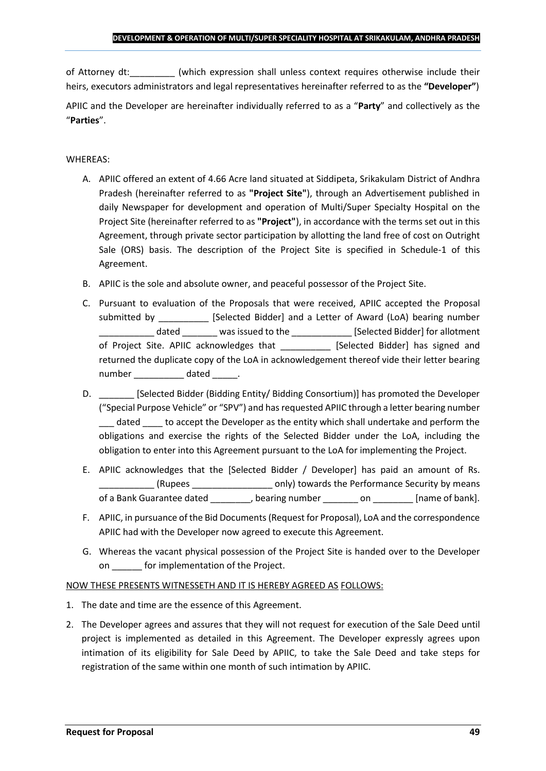of Attorney dt:  $\qquad \qquad$  (which expression shall unless context requires otherwise include their heirs, executors administrators and legal representatives hereinafter referred to as the **"Developer"**)

APIIC and the Developer are hereinafter individually referred to as a "**Party**" and collectively as the "**Parties**".

## WHEREAS:

- A. APIIC offered an extent of 4.66 Acre land situated at Siddipeta, Srikakulam District of Andhra Pradesh (hereinafter referred to as **"Project Site"**), through an Advertisement published in daily Newspaper for development and operation of Multi/Super Specialty Hospital on the Project Site (hereinafter referred to as **"Project"**), in accordance with the terms set out in this Agreement, through private sector participation by allotting the land free of cost on Outright Sale (ORS) basis. The description of the Project Site is specified in Schedule-1 of this Agreement.
- B. APIIC is the sole and absolute owner, and peaceful possessor of the Project Site.
- C. Pursuant to evaluation of the Proposals that were received, APIIC accepted the Proposal submitted by [Selected Bidder] and a Letter of Award (LoA) bearing number \_\_\_\_\_\_\_\_\_\_\_ dated \_\_\_\_\_\_\_ was issued to the \_\_\_\_\_\_\_\_\_\_\_\_ [Selected Bidder] for allotment of Project Site. APIIC acknowledges that [Selected Bidder] has signed and returned the duplicate copy of the LoA in acknowledgement thereof vide their letter bearing number dated the dated and the dated the set of  $\alpha$
- D. \_\_\_\_\_\_\_ [Selected Bidder (Bidding Entity/ Bidding Consortium)] has promoted the Developer ("Special Purpose Vehicle" or "SPV") and has requested APIIC through a letter bearing number dated to accept the Developer as the entity which shall undertake and perform the obligations and exercise the rights of the Selected Bidder under the LoA, including the obligation to enter into this Agreement pursuant to the LoA for implementing the Project.
- E. APIIC acknowledges that the [Selected Bidder / Developer] has paid an amount of Rs. \_\_\_\_\_\_\_\_\_\_\_ (Rupees \_\_\_\_\_\_\_\_\_\_\_\_\_\_\_\_ only) towards the Performance Security by means of a Bank Guarantee dated bearing number on the lame of bank].
- F. APIIC, in pursuance of the Bid Documents (Request for Proposal), LoA and the correspondence APIIC had with the Developer now agreed to execute this Agreement.
- G. Whereas the vacant physical possession of the Project Site is handed over to the Developer on \_\_\_\_\_\_ for implementation of the Project.

## NOW THESE PRESENTS WITNESSETH AND IT IS HEREBY AGREED AS FOLLOWS:

- 1. The date and time are the essence of this Agreement.
- 2. The Developer agrees and assures that they will not request for execution of the Sale Deed until project is implemented as detailed in this Agreement. The Developer expressly agrees upon intimation of its eligibility for Sale Deed by APIIC, to take the Sale Deed and take steps for registration of the same within one month of such intimation by APIIC.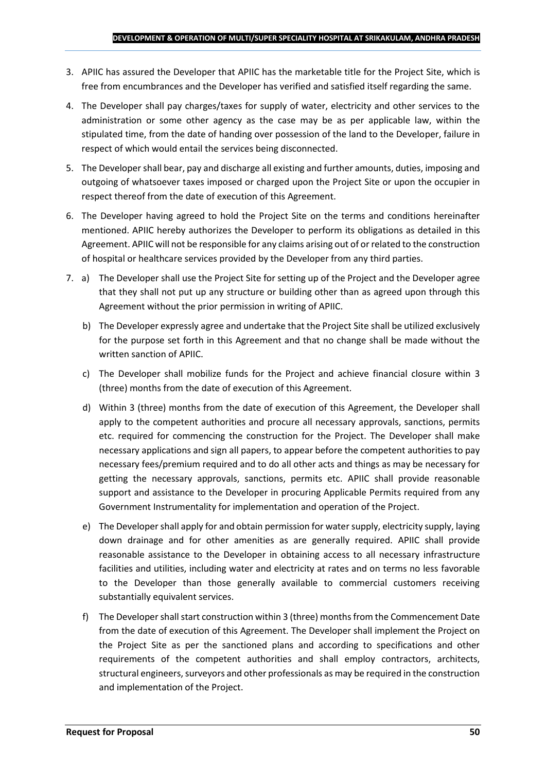- 3. APIIC has assured the Developer that APIIC has the marketable title for the Project Site, which is free from encumbrances and the Developer has verified and satisfied itself regarding the same.
- 4. The Developer shall pay charges/taxes for supply of water, electricity and other services to the administration or some other agency as the case may be as per applicable law, within the stipulated time, from the date of handing over possession of the land to the Developer, failure in respect of which would entail the services being disconnected.
- 5. The Developer shall bear, pay and discharge all existing and further amounts, duties, imposing and outgoing of whatsoever taxes imposed or charged upon the Project Site or upon the occupier in respect thereof from the date of execution of this Agreement.
- 6. The Developer having agreed to hold the Project Site on the terms and conditions hereinafter mentioned. APIIC hereby authorizes the Developer to perform its obligations as detailed in this Agreement. APIIC will not be responsible for any claims arising out of or related to the construction of hospital or healthcare services provided by the Developer from any third parties.
- 7. a) The Developer shall use the Project Site for setting up of the Project and the Developer agree that they shall not put up any structure or building other than as agreed upon through this Agreement without the prior permission in writing of APIIC.
	- b) The Developer expressly agree and undertake that the Project Site shall be utilized exclusively for the purpose set forth in this Agreement and that no change shall be made without the written sanction of APIIC.
	- c) The Developer shall mobilize funds for the Project and achieve financial closure within 3 (three) months from the date of execution of this Agreement.
	- d) Within 3 (three) months from the date of execution of this Agreement, the Developer shall apply to the competent authorities and procure all necessary approvals, sanctions, permits etc. required for commencing the construction for the Project. The Developer shall make necessary applications and sign all papers, to appear before the competent authorities to pay necessary fees/premium required and to do all other acts and things as may be necessary for getting the necessary approvals, sanctions, permits etc. APIIC shall provide reasonable support and assistance to the Developer in procuring Applicable Permits required from any Government Instrumentality for implementation and operation of the Project.
	- e) The Developer shall apply for and obtain permission for water supply, electricity supply, laying down drainage and for other amenities as are generally required. APIIC shall provide reasonable assistance to the Developer in obtaining access to all necessary infrastructure facilities and utilities, including water and electricity at rates and on terms no less favorable to the Developer than those generally available to commercial customers receiving substantially equivalent services.
	- f) The Developer shall start construction within 3 (three) months from the Commencement Date from the date of execution of this Agreement. The Developer shall implement the Project on the Project Site as per the sanctioned plans and according to specifications and other requirements of the competent authorities and shall employ contractors, architects, structural engineers, surveyors and other professionals as may be required in the construction and implementation of the Project.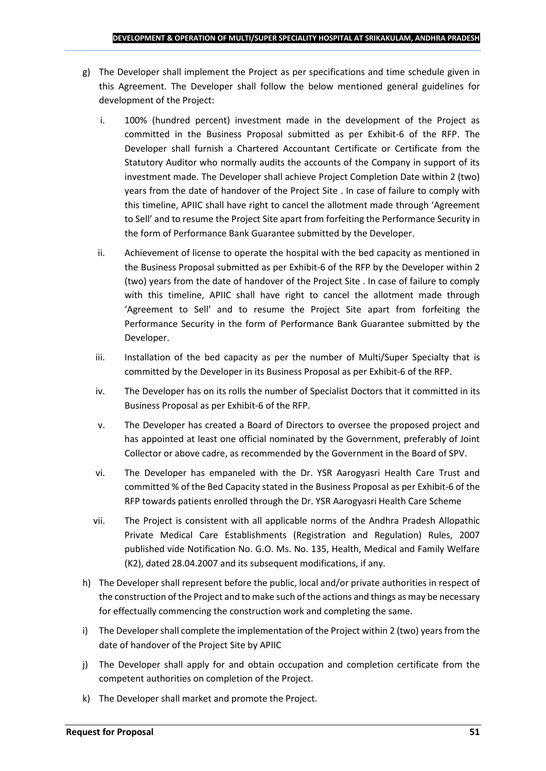- g) The Developer shall implement the Project as per specifications and time schedule given in this Agreement. The Developer shall follow the below mentioned general guidelines for development of the Project:
	- i. 100% (hundred percent) investment made in the development of the Project as committed in the Business Proposal submitted as per Exhibit-6 of the RFP. The Developer shall furnish a Chartered Accountant Certificate or Certificate from the Statutory Auditor who normally audits the accounts of the Company in support of its investment made. The Developer shall achieve Project Completion Date within 2 (two) years from the date of handover of the Project Site . In case of failure to comply with this timeline, APIIC shall have right to cancel the allotment made through 'Agreement to Sell' and to resume the Project Site apart from forfeiting the Performance Security in the form of Performance Bank Guarantee submitted by the Developer.
	- ii. Achievement of license to operate the hospital with the bed capacity as mentioned in the Business Proposal submitted as per Exhibit-6 of the RFP by the Developer within 2 (two) years from the date of handover of the Project Site . In case of failure to comply with this timeline, APIIC shall have right to cancel the allotment made through 'Agreement to Sell' and to resume the Project Site apart from forfeiting the Performance Security in the form of Performance Bank Guarantee submitted by the Developer.
	- iii. Installation of the bed capacity as per the number of Multi/Super Specialty that is committed by the Developer in its Business Proposal as per Exhibit-6 of the RFP.
	- iv. The Developer has on its rolls the number of Specialist Doctors that it committed in its Business Proposal as per Exhibit-6 of the RFP.
	- v. The Developer has created a Board of Directors to oversee the proposed project and has appointed at least one official nominated by the Government, preferably of Joint Collector or above cadre, as recommended by the Government in the Board of SPV.
	- vi. The Developer has empaneled with the Dr. YSR Aarogyasri Health Care Trust and committed % of the Bed Capacity stated in the Business Proposal as per Exhibit-6 of the RFP towards patients enrolled through the Dr. YSR Aarogyasri Health Care Scheme
	- vii. The Project is consistent with all applicable norms of the Andhra Pradesh Allopathic Private Medical Care Establishments (Registration and Regulation) Rules, 2007 published vide Notification No. G.O. Ms. No. 135, Health, Medical and Family Welfare (K2), dated 28.04.2007 and its subsequent modifications, if any.
- h) The Developer shall represent before the public, local and/or private authorities in respect of the construction of the Project and to make such of the actions and things as may be necessary for effectually commencing the construction work and completing the same.
- i) The Developer shall complete the implementation of the Project within 2 (two) years from the date of handover of the Project Site by APIIC
- j) The Developer shall apply for and obtain occupation and completion certificate from the competent authorities on completion of the Project.
- k) The Developer shall market and promote the Project.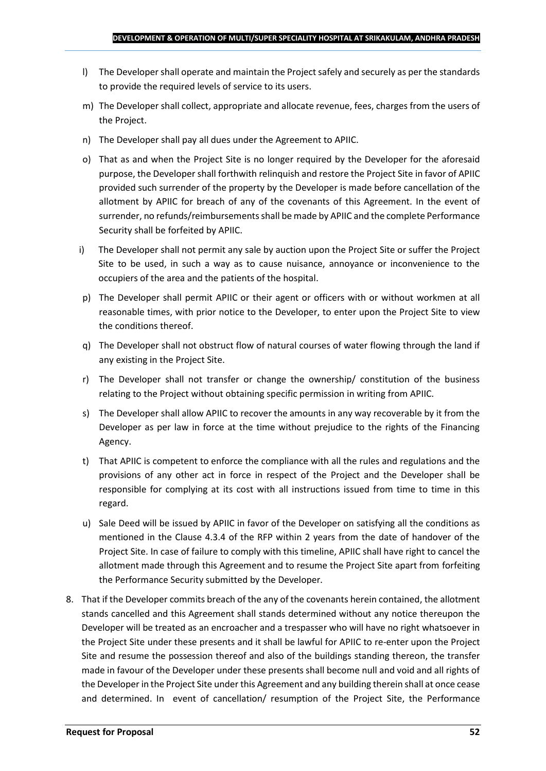- l) The Developer shall operate and maintain the Project safely and securely as per the standards to provide the required levels of service to its users.
- m) The Developer shall collect, appropriate and allocate revenue, fees, charges from the users of the Project.
- n) The Developer shall pay all dues under the Agreement to APIIC.
- o) That as and when the Project Site is no longer required by the Developer for the aforesaid purpose, the Developer shall forthwith relinquish and restore the Project Site in favor of APIIC provided such surrender of the property by the Developer is made before cancellation of the allotment by APIIC for breach of any of the covenants of this Agreement. In the event of surrender, no refunds/reimbursements shall be made by APIIC and the complete Performance Security shall be forfeited by APIIC.
- i) The Developer shall not permit any sale by auction upon the Project Site or suffer the Project Site to be used, in such a way as to cause nuisance, annoyance or inconvenience to the occupiers of the area and the patients of the hospital.
- p) The Developer shall permit APIIC or their agent or officers with or without workmen at all reasonable times, with prior notice to the Developer, to enter upon the Project Site to view the conditions thereof.
- q) The Developer shall not obstruct flow of natural courses of water flowing through the land if any existing in the Project Site.
- r) The Developer shall not transfer or change the ownership/ constitution of the business relating to the Project without obtaining specific permission in writing from APIIC.
- s) The Developer shall allow APIIC to recover the amounts in any way recoverable by it from the Developer as per law in force at the time without prejudice to the rights of the Financing Agency.
- t) That APIIC is competent to enforce the compliance with all the rules and regulations and the provisions of any other act in force in respect of the Project and the Developer shall be responsible for complying at its cost with all instructions issued from time to time in this regard.
- u) Sale Deed will be issued by APIIC in favor of the Developer on satisfying all the conditions as mentioned in the Clause 4.3.4 of the RFP within 2 years from the date of handover of the Project Site. In case of failure to comply with this timeline, APIIC shall have right to cancel the allotment made through this Agreement and to resume the Project Site apart from forfeiting the Performance Security submitted by the Developer.
- 8. That if the Developer commits breach of the any of the covenants herein contained, the allotment stands cancelled and this Agreement shall stands determined without any notice thereupon the Developer will be treated as an encroacher and a trespasser who will have no right whatsoever in the Project Site under these presents and it shall be lawful for APIIC to re-enter upon the Project Site and resume the possession thereof and also of the buildings standing thereon, the transfer made in favour of the Developer under these presents shall become null and void and all rights of the Developer in the Project Site under this Agreement and any building therein shall at once cease and determined. In event of cancellation/ resumption of the Project Site, the Performance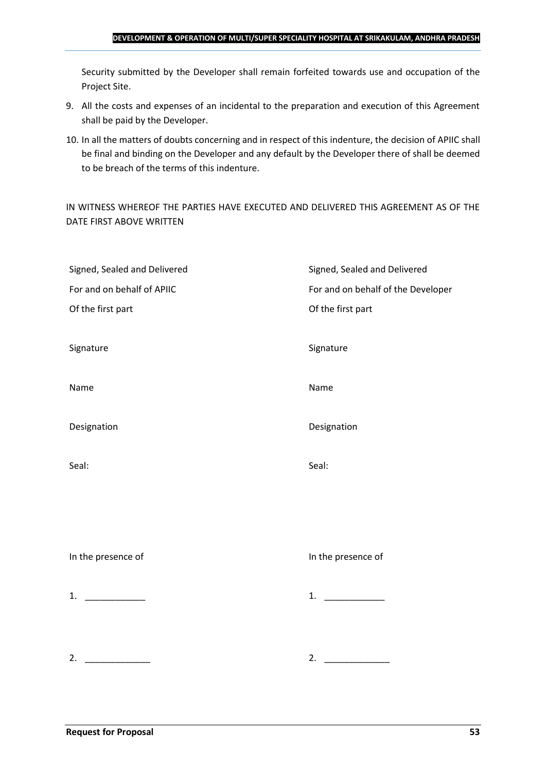#### **DEVELOPMENT & OPERATION OF MULTI/SUPER SPECIALITY HOSPITAL AT SRIKAKULAM, ANDHRA PRADESH**

Security submitted by the Developer shall remain forfeited towards use and occupation of the Project Site.

- 9. All the costs and expenses of an incidental to the preparation and execution of this Agreement shall be paid by the Developer.
- 10. In all the matters of doubts concerning and in respect of this indenture, the decision of APIIC shall be final and binding on the Developer and any default by the Developer there of shall be deemed to be breach of the terms of this indenture.

IN WITNESS WHEREOF THE PARTIES HAVE EXECUTED AND DELIVERED THIS AGREEMENT AS OF THE DATE FIRST ABOVE WRITTEN

| Signed, Sealed and Delivered | Signed, Sealed and Delivered       |
|------------------------------|------------------------------------|
| For and on behalf of APIIC   | For and on behalf of the Developer |
| Of the first part            | Of the first part                  |
|                              |                                    |
| Signature                    | Signature                          |
|                              |                                    |
| Name                         | Name                               |
|                              |                                    |
| Designation                  | Designation                        |
|                              |                                    |
| Seal:                        | Seal:                              |
|                              |                                    |
|                              |                                    |
|                              |                                    |
|                              |                                    |
| In the presence of           | In the presence of                 |
|                              |                                    |
| 1. $\qquad$                  | 1. $\qquad$                        |
|                              |                                    |
|                              |                                    |
| 2.                           | 2.                                 |
|                              |                                    |